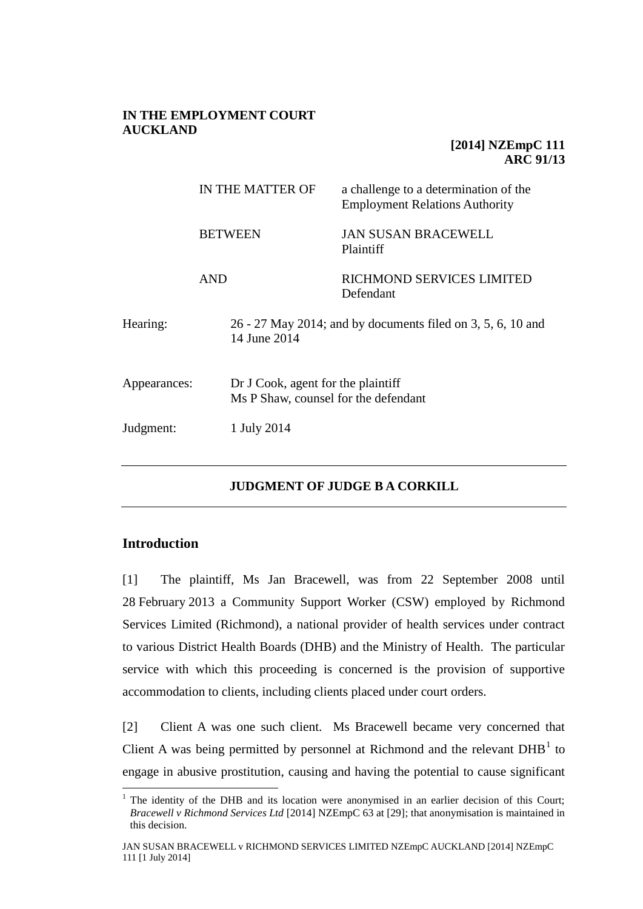### **IN THE EMPLOYMENT COURT AUCKLAND**

# **[2014] NZEmpC 111 ARC 91/13**

|              | IN THE MATTER OF<br><b>BETWEEN</b> |                                                                            | a challenge to a determination of the<br><b>Employment Relations Authority</b> |  |
|--------------|------------------------------------|----------------------------------------------------------------------------|--------------------------------------------------------------------------------|--|
|              |                                    |                                                                            | <b>JAN SUSAN BRACEWELL</b><br>Plaintiff                                        |  |
| AND          |                                    |                                                                            | RICHMOND SERVICES LIMITED<br>Defendant                                         |  |
| Hearing:     | 14 June 2014                       |                                                                            | 26 - 27 May 2014; and by documents filed on 3, 5, 6, 10 and                    |  |
| Appearances: |                                    | Dr J Cook, agent for the plaintiff<br>Ms P Shaw, counsel for the defendant |                                                                                |  |
| Judgment:    |                                    | 1 July 2014                                                                |                                                                                |  |

# **JUDGMENT OF JUDGE B A CORKILL**

### **Introduction**

 $\overline{a}$ 

[1] The plaintiff, Ms Jan Bracewell, was from 22 September 2008 until 28 February 2013 a Community Support Worker (CSW) employed by Richmond Services Limited (Richmond), a national provider of health services under contract to various District Health Boards (DHB) and the Ministry of Health. The particular service with which this proceeding is concerned is the provision of supportive accommodation to clients, including clients placed under court orders.

[2] Client A was one such client. Ms Bracewell became very concerned that Client A was being permitted by personnel at Richmond and the relevant  $DHB<sup>1</sup>$  to engage in abusive prostitution, causing and having the potential to cause significant

<sup>&</sup>lt;sup>1</sup> The identity of the DHB and its location were anonymised in an earlier decision of this Court; *Bracewell v Richmond Services Ltd* [2014] NZEmpC 63 at [29]; that anonymisation is maintained in this decision.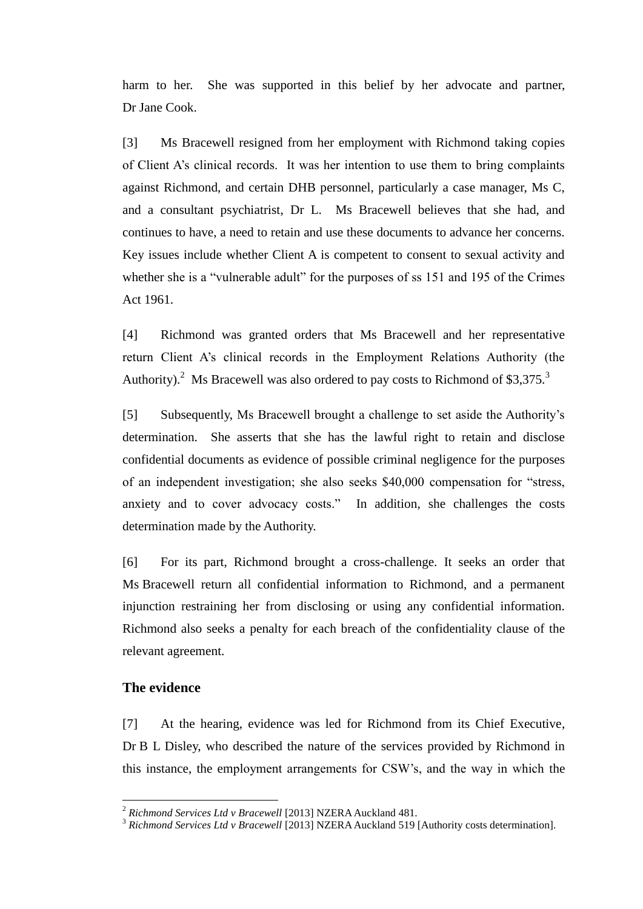harm to her. She was supported in this belief by her advocate and partner, Dr Jane Cook.

[3] Ms Bracewell resigned from her employment with Richmond taking copies of Client A's clinical records. It was her intention to use them to bring complaints against Richmond, and certain DHB personnel, particularly a case manager, Ms C, and a consultant psychiatrist, Dr L. Ms Bracewell believes that she had, and continues to have, a need to retain and use these documents to advance her concerns. Key issues include whether Client A is competent to consent to sexual activity and whether she is a "vulnerable adult" for the purposes of ss 151 and 195 of the Crimes Act 1961.

[4] Richmond was granted orders that Ms Bracewell and her representative return Client A's clinical records in the Employment Relations Authority (the Authority).<sup>2</sup> Ms Bracewell was also ordered to pay costs to Richmond of \$3,375.<sup>3</sup>

[5] Subsequently, Ms Bracewell brought a challenge to set aside the Authority's determination. She asserts that she has the lawful right to retain and disclose confidential documents as evidence of possible criminal negligence for the purposes of an independent investigation; she also seeks \$40,000 compensation for "stress, anxiety and to cover advocacy costs." In addition, she challenges the costs determination made by the Authority.

[6] For its part, Richmond brought a cross-challenge. It seeks an order that Ms Bracewell return all confidential information to Richmond, and a permanent injunction restraining her from disclosing or using any confidential information. Richmond also seeks a penalty for each breach of the confidentiality clause of the relevant agreement.

### **The evidence**

 $\overline{a}$ 

[7] At the hearing, evidence was led for Richmond from its Chief Executive, Dr B L Disley, who described the nature of the services provided by Richmond in this instance, the employment arrangements for CSW's, and the way in which the

<sup>2</sup> *Richmond Services Ltd v Bracewell* [2013] NZERA Auckland 481.

<sup>&</sup>lt;sup>3</sup> Richmond Services Ltd v Bracewell [2013] NZERA Auckland 519 [Authority costs determination].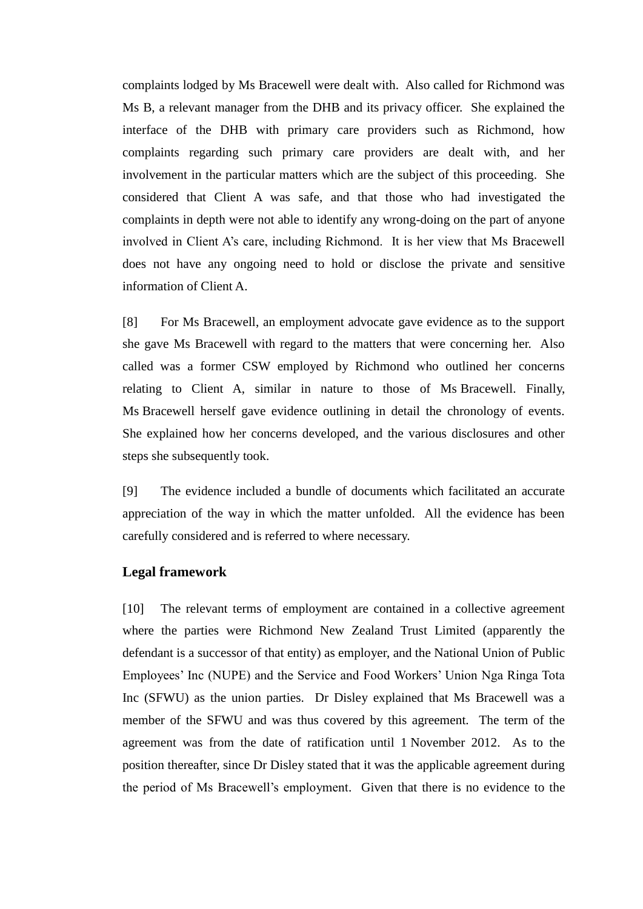complaints lodged by Ms Bracewell were dealt with. Also called for Richmond was Ms B, a relevant manager from the DHB and its privacy officer. She explained the interface of the DHB with primary care providers such as Richmond, how complaints regarding such primary care providers are dealt with, and her involvement in the particular matters which are the subject of this proceeding. She considered that Client A was safe, and that those who had investigated the complaints in depth were not able to identify any wrong-doing on the part of anyone involved in Client A's care, including Richmond. It is her view that Ms Bracewell does not have any ongoing need to hold or disclose the private and sensitive information of Client A.

[8] For Ms Bracewell, an employment advocate gave evidence as to the support she gave Ms Bracewell with regard to the matters that were concerning her. Also called was a former CSW employed by Richmond who outlined her concerns relating to Client A, similar in nature to those of Ms Bracewell. Finally, Ms Bracewell herself gave evidence outlining in detail the chronology of events. She explained how her concerns developed, and the various disclosures and other steps she subsequently took.

[9] The evidence included a bundle of documents which facilitated an accurate appreciation of the way in which the matter unfolded. All the evidence has been carefully considered and is referred to where necessary.

## **Legal framework**

[10] The relevant terms of employment are contained in a collective agreement where the parties were Richmond New Zealand Trust Limited (apparently the defendant is a successor of that entity) as employer, and the National Union of Public Employees' Inc (NUPE) and the Service and Food Workers' Union Nga Ringa Tota Inc (SFWU) as the union parties. Dr Disley explained that Ms Bracewell was a member of the SFWU and was thus covered by this agreement. The term of the agreement was from the date of ratification until 1 November 2012. As to the position thereafter, since Dr Disley stated that it was the applicable agreement during the period of Ms Bracewell's employment. Given that there is no evidence to the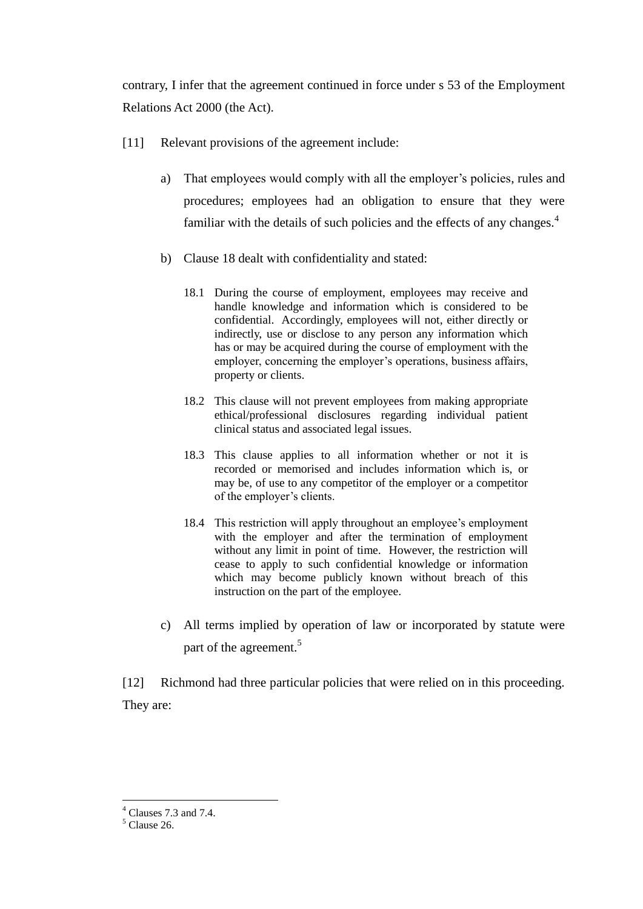contrary, I infer that the agreement continued in force under s 53 of the Employment Relations Act 2000 (the Act).

- [11] Relevant provisions of the agreement include:
	- a) That employees would comply with all the employer's policies, rules and procedures; employees had an obligation to ensure that they were familiar with the details of such policies and the effects of any changes. $4$
	- b) Clause 18 dealt with confidentiality and stated:
		- 18.1 During the course of employment, employees may receive and handle knowledge and information which is considered to be confidential. Accordingly, employees will not, either directly or indirectly, use or disclose to any person any information which has or may be acquired during the course of employment with the employer, concerning the employer's operations, business affairs, property or clients.
		- 18.2 This clause will not prevent employees from making appropriate ethical/professional disclosures regarding individual patient clinical status and associated legal issues.
		- 18.3 This clause applies to all information whether or not it is recorded or memorised and includes information which is, or may be, of use to any competitor of the employer or a competitor of the employer's clients.
		- 18.4 This restriction will apply throughout an employee's employment with the employer and after the termination of employment without any limit in point of time. However, the restriction will cease to apply to such confidential knowledge or information which may become publicly known without breach of this instruction on the part of the employee.
	- c) All terms implied by operation of law or incorporated by statute were part of the agreement.<sup>5</sup>

[12] Richmond had three particular policies that were relied on in this proceeding. They are:

<sup>4</sup> Clauses 7.3 and 7.4.

 $<sup>5</sup>$  Clause 26.</sup>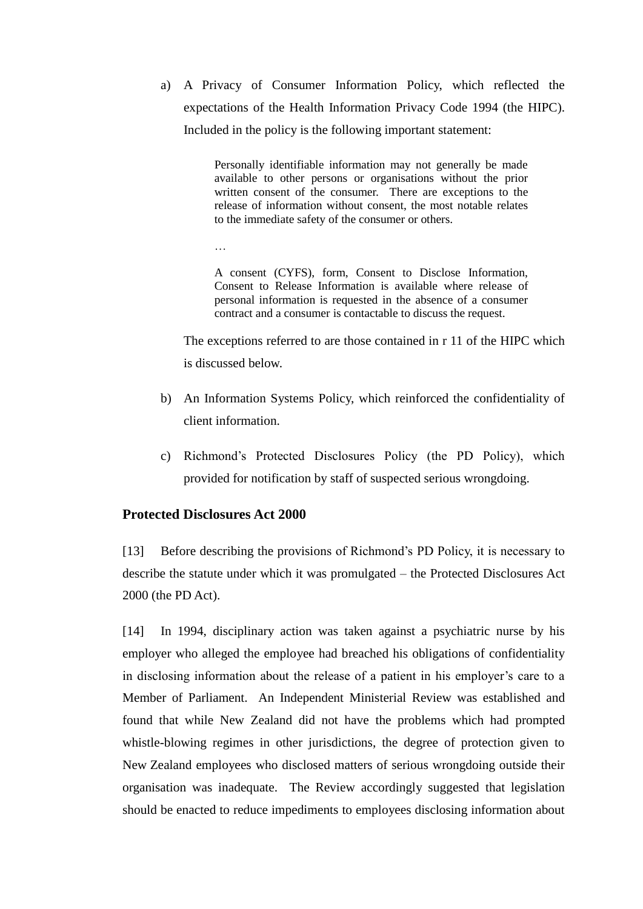a) A Privacy of Consumer Information Policy, which reflected the expectations of the Health Information Privacy Code 1994 (the HIPC). Included in the policy is the following important statement:

> Personally identifiable information may not generally be made available to other persons or organisations without the prior written consent of the consumer. There are exceptions to the release of information without consent, the most notable relates to the immediate safety of the consumer or others.

…

A consent (CYFS), form, Consent to Disclose Information, Consent to Release Information is available where release of personal information is requested in the absence of a consumer contract and a consumer is contactable to discuss the request.

The exceptions referred to are those contained in r 11 of the HIPC which is discussed below.

- b) An Information Systems Policy, which reinforced the confidentiality of client information.
- c) Richmond's Protected Disclosures Policy (the PD Policy), which provided for notification by staff of suspected serious wrongdoing.

# **Protected Disclosures Act 2000**

[13] Before describing the provisions of Richmond's PD Policy, it is necessary to describe the statute under which it was promulgated – the Protected Disclosures Act 2000 (the PD Act).

[14] In 1994, disciplinary action was taken against a psychiatric nurse by his employer who alleged the employee had breached his obligations of confidentiality in disclosing information about the release of a patient in his employer's care to a Member of Parliament. An Independent Ministerial Review was established and found that while New Zealand did not have the problems which had prompted whistle-blowing regimes in other jurisdictions, the degree of protection given to New Zealand employees who disclosed matters of serious wrongdoing outside their organisation was inadequate. The Review accordingly suggested that legislation should be enacted to reduce impediments to employees disclosing information about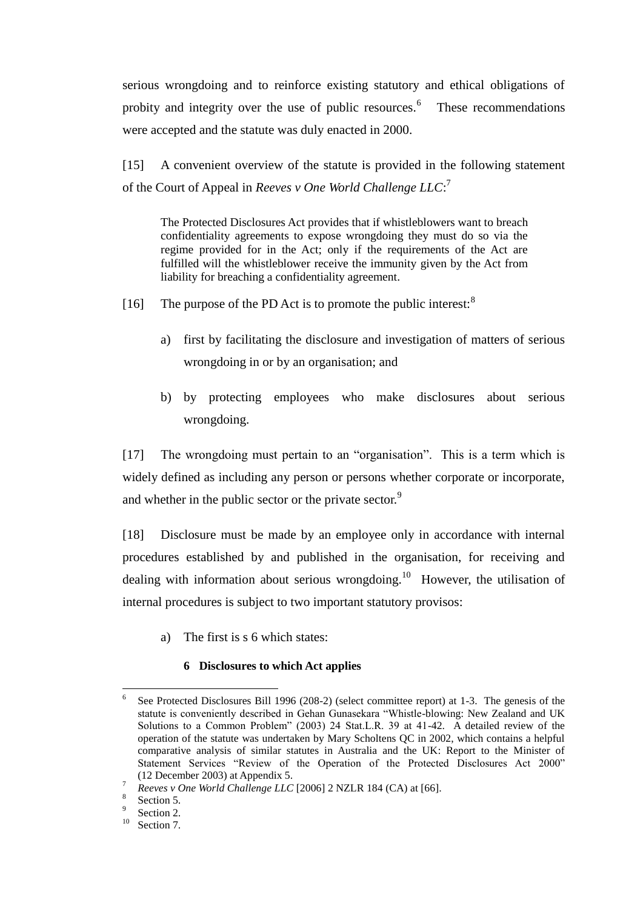serious wrongdoing and to reinforce existing statutory and ethical obligations of probity and integrity over the use of public resources.<sup>6</sup> These recommendations were accepted and the statute was duly enacted in 2000.

[15] A convenient overview of the statute is provided in the following statement of the Court of Appeal in *Reeves v One World Challenge LLC*: 7

The Protected Disclosures Act provides that if whistleblowers want to breach confidentiality agreements to expose wrongdoing they must do so via the regime provided for in the Act; only if the requirements of the Act are fulfilled will the whistleblower receive the immunity given by the Act from liability for breaching a confidentiality agreement.

- [16] The purpose of the PD Act is to promote the public interest: $8$ 
	- a) first by facilitating the disclosure and investigation of matters of serious wrongdoing in or by an organisation; and
	- b) by protecting employees who make disclosures about serious wrongdoing.

[17] The wrongdoing must pertain to an "organisation". This is a term which is widely defined as including any person or persons whether corporate or incorporate, and whether in the public sector or the private sector.<sup>9</sup>

[18] Disclosure must be made by an employee only in accordance with internal procedures established by and published in the organisation, for receiving and dealing with information about serious wrongdoing.<sup>10</sup> However, the utilisation of internal procedures is subject to two important statutory provisos:

a) The first is s 6 which states:

### **6 Disclosures to which Act applies**

<sup>6</sup> See Protected Disclosures Bill 1996 (208-2) (select committee report) at 1-3. The genesis of the statute is conveniently described in Gehan Gunasekara "Whistle-blowing: New Zealand and UK Solutions to a Common Problem" (2003) 24 Stat.L.R. 39 at 41-42. A detailed review of the operation of the statute was undertaken by Mary Scholtens QC in 2002, which contains a helpful comparative analysis of similar statutes in Australia and the UK: Report to the Minister of Statement Services "Review of the Operation of the Protected Disclosures Act 2000" (12 December 2003) at Appendix 5.

<sup>7</sup> *Reeves v One World Challenge LLC* [2006] 2 NZLR 184 (CA) at [66].

<sup>8</sup> Section 5.

<sup>9</sup> Section 2.

 $10$  Section 7.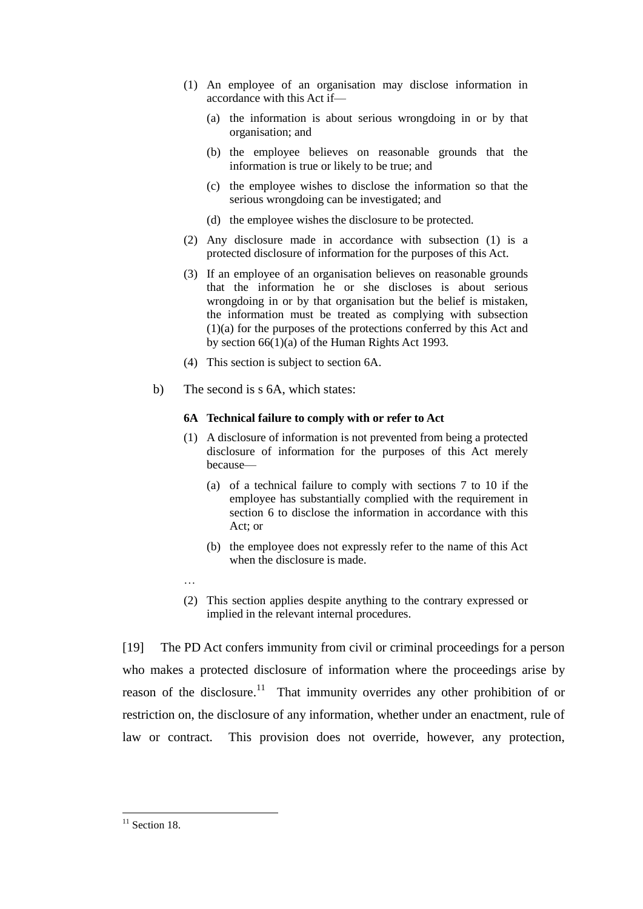- (1) An employee of an organisation may disclose information in accordance with this Act if—
	- (a) the information is about serious wrongdoing in or by that organisation; and
	- (b) the employee believes on reasonable grounds that the information is true or likely to be true; and
	- (c) the employee wishes to disclose the information so that the serious wrongdoing can be investigated; and
	- (d) the employee wishes the disclosure to be protected.
- (2) Any disclosure made in accordance with subsection (1) is a protected disclosure of information for the purposes of this Act.
- (3) If an employee of an organisation believes on reasonable grounds that the information he or she discloses is about serious wrongdoing in or by that organisation but the belief is mistaken, the information must be treated as complying with subsection (1)(a) for the purposes of the protections conferred by this Act and by [section 66\(1\)\(a\)](http://www.legislation.govt.nz/act/public/2000/0007/latest/link.aspx?id=DLM304658) of the Human Rights Act 1993.
- (4) This section is subject to [section 6A.](http://www.legislation.govt.nz/act/public/2000/0007/latest/link.aspx?id=DLM2030799)
- b) The second is s 6A, which states:

#### **6A Technical failure to comply with or refer to Act**

- (1) A disclosure of information is not prevented from being a protected disclosure of information for the purposes of this Act merely because—
	- (a) of a technical failure to comply with [sections 7 to 10](http://www.legislation.govt.nz/act/public/2000/0007/latest/link.aspx?id=DLM53904) if the employee has substantially complied with the requirement in [section 6](http://www.legislation.govt.nz/act/public/2000/0007/latest/link.aspx?id=DLM53903) to disclose the information in accordance with this Act; or
	- (b) the employee does not expressly refer to the name of this Act when the disclosure is made.
- (2) This section applies despite anything to the contrary expressed or implied in the relevant internal procedures.

[19] The PD Act confers immunity from civil or criminal proceedings for a person who makes a protected disclosure of information where the proceedings arise by reason of the disclosure.<sup>11</sup> That immunity overrides any other prohibition of or restriction on, the disclosure of any information, whether under an enactment, rule of law or contract. This provision does not override, however, any protection,

…

 $\overline{a}$  $11$  Section 18.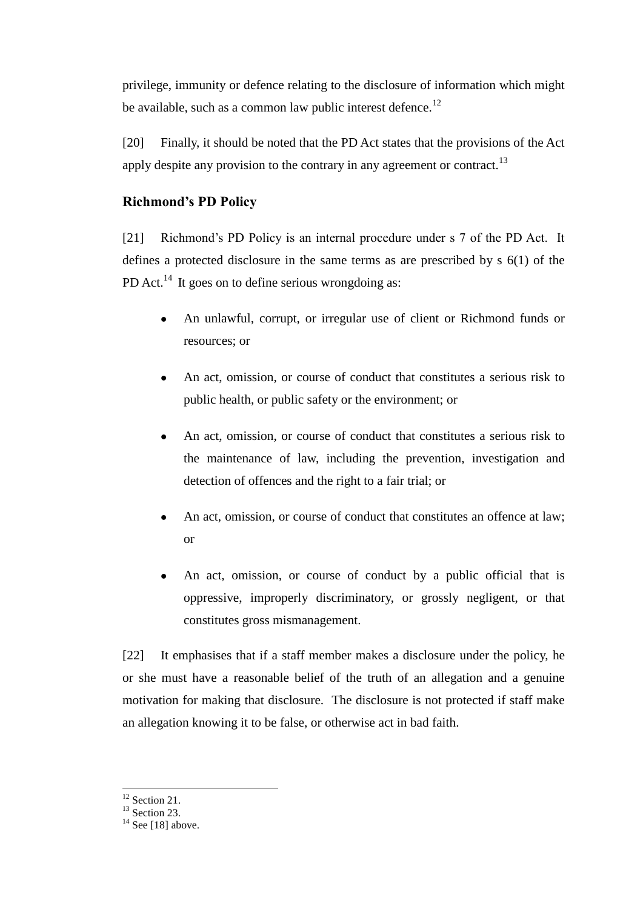privilege, immunity or defence relating to the disclosure of information which might be available, such as a common law public interest defence.<sup>12</sup>

[20] Finally, it should be noted that the PD Act states that the provisions of the Act apply despite any provision to the contrary in any agreement or contract.<sup>13</sup>

# **Richmond's PD Policy**

[21] Richmond's PD Policy is an internal procedure under s 7 of the PD Act. It defines a protected disclosure in the same terms as are prescribed by s 6(1) of the PD Act.<sup>14</sup> It goes on to define serious wrongdoing as:

- An unlawful, corrupt, or irregular use of client or Richmond funds or  $\bullet$ resources; or
- An act, omission, or course of conduct that constitutes a serious risk to  $\bullet$ public health, or public safety or the environment; or
- An act, omission, or course of conduct that constitutes a serious risk to the maintenance of law, including the prevention, investigation and detection of offences and the right to a fair trial; or
- An act, omission, or course of conduct that constitutes an offence at law;  $\bullet$ or
- An act, omission, or course of conduct by a public official that is oppressive, improperly discriminatory, or grossly negligent, or that constitutes gross mismanagement.

[22] It emphasises that if a staff member makes a disclosure under the policy, he or she must have a reasonable belief of the truth of an allegation and a genuine motivation for making that disclosure. The disclosure is not protected if staff make an allegation knowing it to be false, or otherwise act in bad faith.

 $\overline{a}$ <sup>12</sup> Section 21.

 $13$  Section 23.

 $14$  See [18] above.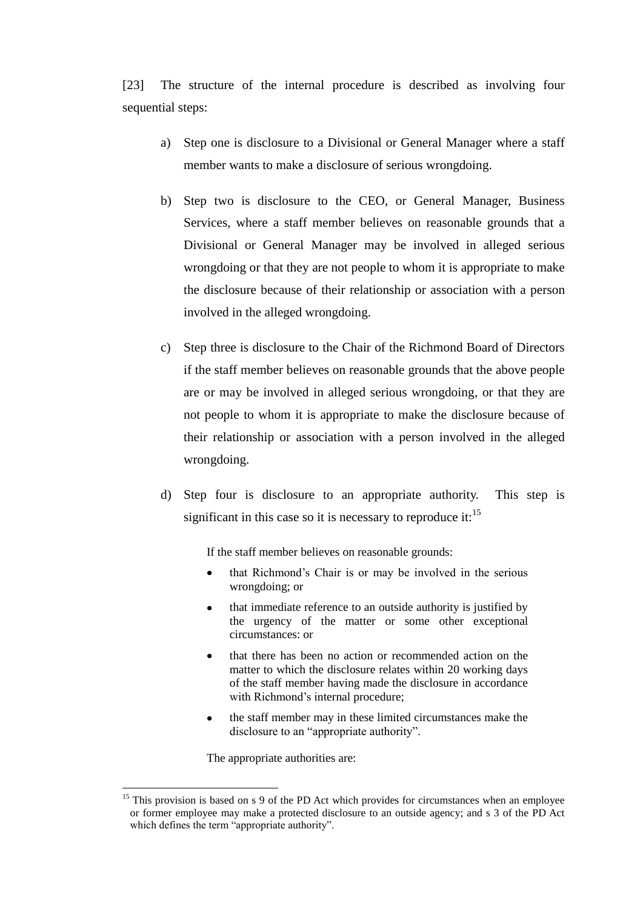[23] The structure of the internal procedure is described as involving four sequential steps:

- a) Step one is disclosure to a Divisional or General Manager where a staff member wants to make a disclosure of serious wrongdoing.
- b) Step two is disclosure to the CEO, or General Manager, Business Services, where a staff member believes on reasonable grounds that a Divisional or General Manager may be involved in alleged serious wrongdoing or that they are not people to whom it is appropriate to make the disclosure because of their relationship or association with a person involved in the alleged wrongdoing.
- c) Step three is disclosure to the Chair of the Richmond Board of Directors if the staff member believes on reasonable grounds that the above people are or may be involved in alleged serious wrongdoing, or that they are not people to whom it is appropriate to make the disclosure because of their relationship or association with a person involved in the alleged wrongdoing.
- d) Step four is disclosure to an appropriate authority. This step is significant in this case so it is necessary to reproduce it: $15$

If the staff member believes on reasonable grounds:

- that Richmond's Chair is or may be involved in the serious wrongdoing; or
- that immediate reference to an outside authority is justified by the urgency of the matter or some other exceptional circumstances: or
- that there has been no action or recommended action on the matter to which the disclosure relates within 20 working days of the staff member having made the disclosure in accordance with Richmond's internal procedure;
- the staff member may in these limited circumstances make the disclosure to an "appropriate authority".

The appropriate authorities are:

<sup>&</sup>lt;sup>15</sup> This provision is based on s 9 of the PD Act which provides for circumstances when an employee or former employee may make a protected disclosure to an outside agency; and s 3 of the PD Act which defines the term "appropriate authority".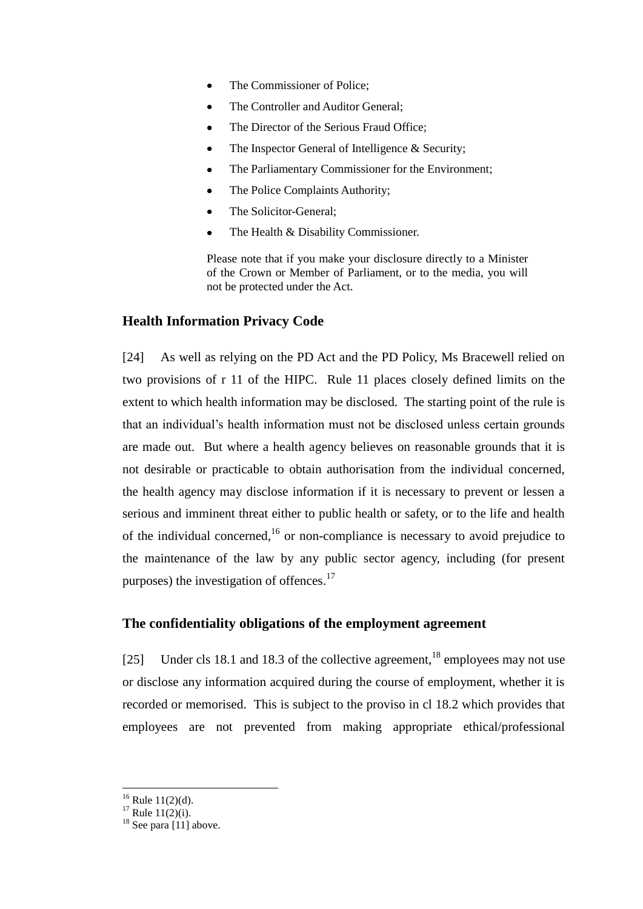- The Commissioner of Police;
- The Controller and Auditor General;
- The Director of the Serious Fraud Office;
- The Inspector General of Intelligence & Security;
- The Parliamentary Commissioner for the Environment;
- The Police Complaints Authority;
- The Solicitor-General;
- The Health & Disability Commissioner.

Please note that if you make your disclosure directly to a Minister of the Crown or Member of Parliament, or to the media, you will not be protected under the Act.

# **Health Information Privacy Code**

[24] As well as relying on the PD Act and the PD Policy, Ms Bracewell relied on two provisions of r 11 of the HIPC. Rule 11 places closely defined limits on the extent to which health information may be disclosed. The starting point of the rule is that an individual's health information must not be disclosed unless certain grounds are made out. But where a health agency believes on reasonable grounds that it is not desirable or practicable to obtain authorisation from the individual concerned, the health agency may disclose information if it is necessary to prevent or lessen a serious and imminent threat either to public health or safety, or to the life and health of the individual concerned,<sup>16</sup> or non-compliance is necessary to avoid prejudice to the maintenance of the law by any public sector agency, including (for present purposes) the investigation of offences. $17$ 

# **The confidentiality obligations of the employment agreement**

[25] Under cls 18.1 and 18.3 of the collective agreement,  $^{18}$  employees may not use or disclose any information acquired during the course of employment, whether it is recorded or memorised. This is subject to the proviso in cl 18.2 which provides that employees are not prevented from making appropriate ethical/professional

 $16$  Rule 11(2)(d).

 $17$  Rule  $11(2)(i)$ .

 $18$  See para [11] above.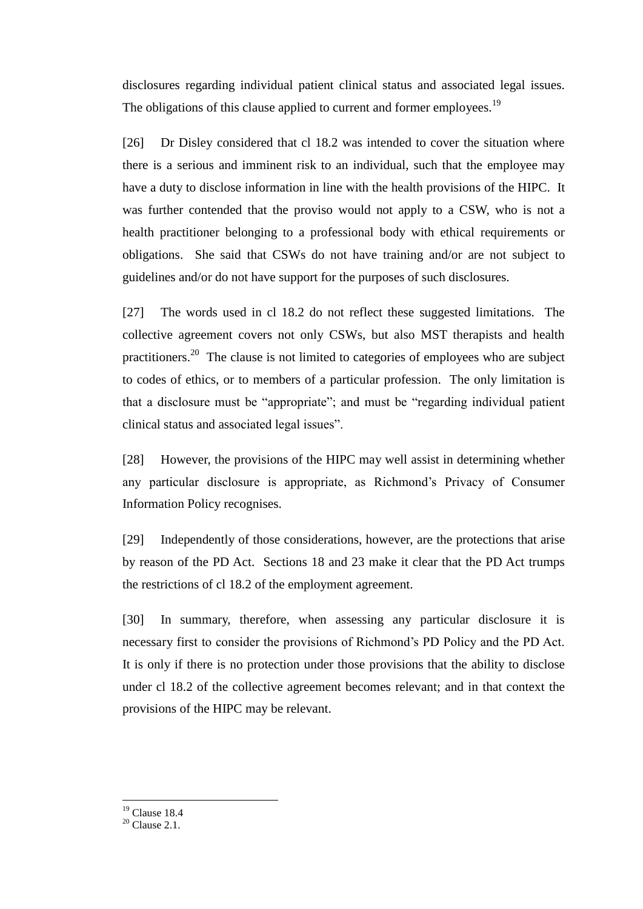disclosures regarding individual patient clinical status and associated legal issues. The obligations of this clause applied to current and former employees.<sup>19</sup>

[26] Dr Disley considered that cl 18.2 was intended to cover the situation where there is a serious and imminent risk to an individual, such that the employee may have a duty to disclose information in line with the health provisions of the HIPC. It was further contended that the proviso would not apply to a CSW, who is not a health practitioner belonging to a professional body with ethical requirements or obligations. She said that CSWs do not have training and/or are not subject to guidelines and/or do not have support for the purposes of such disclosures.

[27] The words used in cl 18.2 do not reflect these suggested limitations. The collective agreement covers not only CSWs, but also MST therapists and health practitioners.<sup>20</sup> The clause is not limited to categories of employees who are subject to codes of ethics, or to members of a particular profession. The only limitation is that a disclosure must be "appropriate"; and must be "regarding individual patient clinical status and associated legal issues".

[28] However, the provisions of the HIPC may well assist in determining whether any particular disclosure is appropriate, as Richmond's Privacy of Consumer Information Policy recognises.

[29] Independently of those considerations, however, are the protections that arise by reason of the PD Act. Sections 18 and 23 make it clear that the PD Act trumps the restrictions of cl 18.2 of the employment agreement.

[30] In summary, therefore, when assessing any particular disclosure it is necessary first to consider the provisions of Richmond's PD Policy and the PD Act. It is only if there is no protection under those provisions that the ability to disclose under cl 18.2 of the collective agreement becomes relevant; and in that context the provisions of the HIPC may be relevant.

 $19$  Clause 18.4

 $20$  Clause 2.1.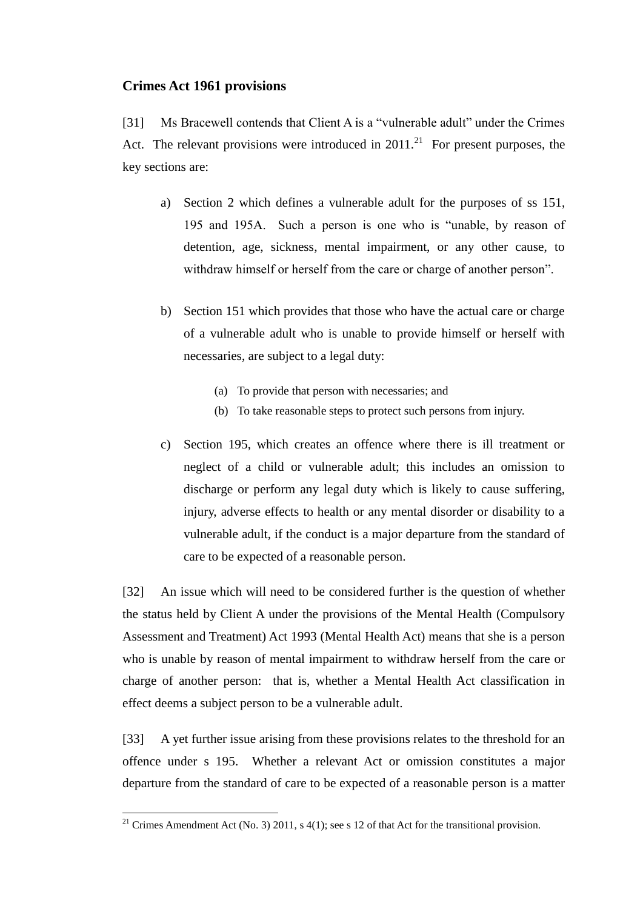## **Crimes Act 1961 provisions**

[31] Ms Bracewell contends that Client A is a "vulnerable adult" under the Crimes Act. The relevant provisions were introduced in  $2011$ <sup>21</sup> For present purposes, the key sections are:

- a) Section 2 which defines a vulnerable adult for the purposes of ss 151, 195 and 195A. Such a person is one who is "unable, by reason of detention, age, sickness, mental impairment, or any other cause, to withdraw himself or herself from the care or charge of another person".
- b) Section 151 which provides that those who have the actual care or charge of a vulnerable adult who is unable to provide himself or herself with necessaries, are subject to a legal duty:
	- (a) To provide that person with necessaries; and
	- (b) To take reasonable steps to protect such persons from injury.
- c) Section 195, which creates an offence where there is ill treatment or neglect of a child or vulnerable adult; this includes an omission to discharge or perform any legal duty which is likely to cause suffering, injury, adverse effects to health or any mental disorder or disability to a vulnerable adult, if the conduct is a major departure from the standard of care to be expected of a reasonable person.

[32] An issue which will need to be considered further is the question of whether the status held by Client A under the provisions of the Mental Health (Compulsory Assessment and Treatment) Act 1993 (Mental Health Act) means that she is a person who is unable by reason of mental impairment to withdraw herself from the care or charge of another person: that is, whether a Mental Health Act classification in effect deems a subject person to be a vulnerable adult.

[33] A yet further issue arising from these provisions relates to the threshold for an offence under s 195. Whether a relevant Act or omission constitutes a major departure from the standard of care to be expected of a reasonable person is a matter

<sup>&</sup>lt;sup>21</sup> Crimes Amendment Act (No. 3) 2011, s  $4(1)$ ; see s 12 of that Act for the transitional provision.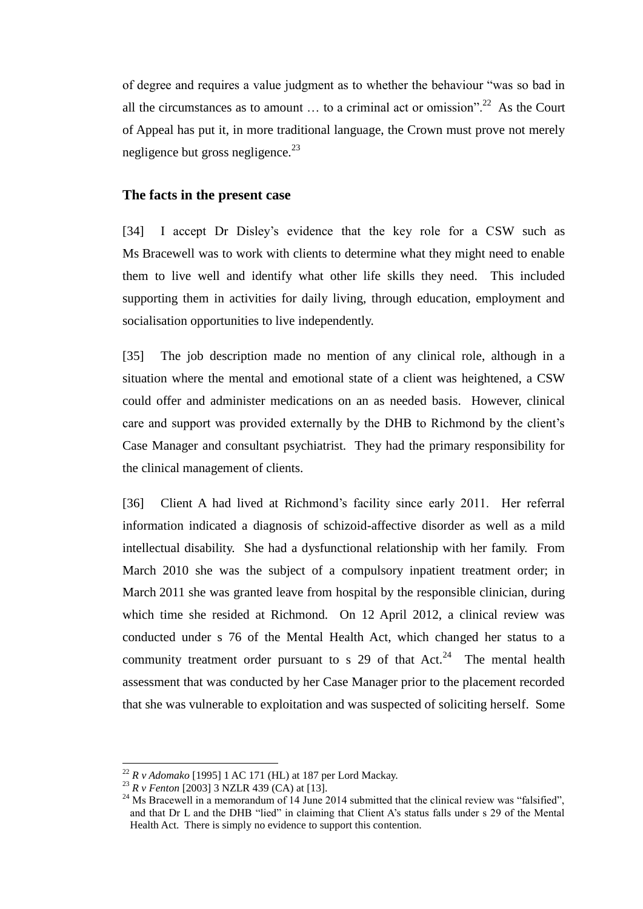of degree and requires a value judgment as to whether the behaviour "was so bad in all the circumstances as to amount  $\dots$  to a criminal act or omission".<sup>22</sup> As the Court of Appeal has put it, in more traditional language, the Crown must prove not merely negligence but gross negligence. $^{23}$ 

### **The facts in the present case**

[34] I accept Dr Disley's evidence that the key role for a CSW such as Ms Bracewell was to work with clients to determine what they might need to enable them to live well and identify what other life skills they need. This included supporting them in activities for daily living, through education, employment and socialisation opportunities to live independently.

[35] The job description made no mention of any clinical role, although in a situation where the mental and emotional state of a client was heightened, a CSW could offer and administer medications on an as needed basis. However, clinical care and support was provided externally by the DHB to Richmond by the client's Case Manager and consultant psychiatrist. They had the primary responsibility for the clinical management of clients.

[36] Client A had lived at Richmond's facility since early 2011. Her referral information indicated a diagnosis of schizoid-affective disorder as well as a mild intellectual disability. She had a dysfunctional relationship with her family. From March 2010 she was the subject of a compulsory inpatient treatment order; in March 2011 she was granted leave from hospital by the responsible clinician, during which time she resided at Richmond. On 12 April 2012, a clinical review was conducted under s 76 of the Mental Health Act, which changed her status to a community treatment order pursuant to s 29 of that  $Act.^{24}$  The mental health assessment that was conducted by her Case Manager prior to the placement recorded that she was vulnerable to exploitation and was suspected of soliciting herself. Some

<sup>22</sup> *R v Adomako* [1995] 1 AC 171 (HL) at 187 per Lord Mackay.

<sup>23</sup> *R v Fenton* [2003] 3 NZLR 439 (CA) at [13].

 $24$  Ms Bracewell in a memorandum of 14 June 2014 submitted that the clinical review was "falsified", and that Dr L and the DHB "lied" in claiming that Client A's status falls under s 29 of the Mental Health Act. There is simply no evidence to support this contention.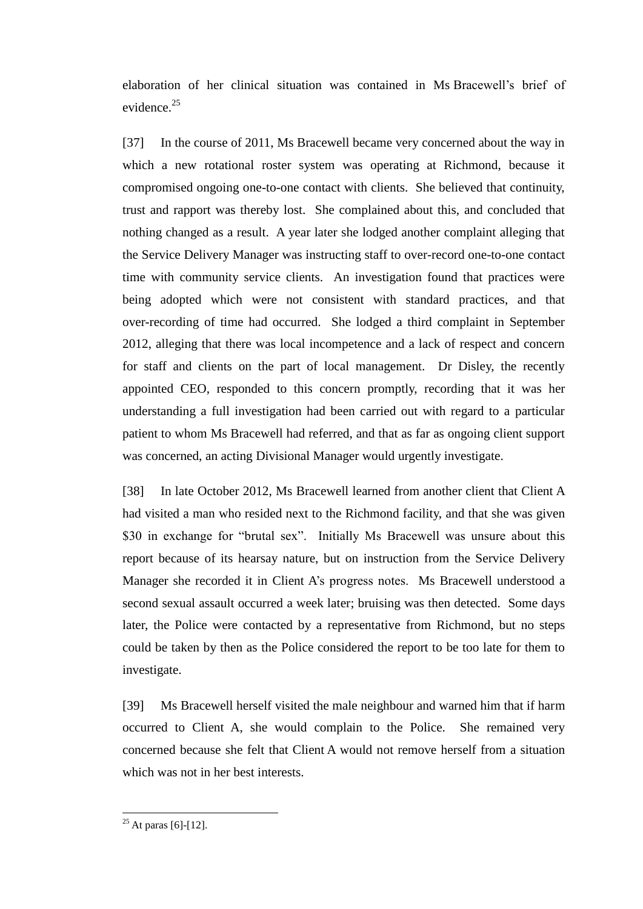elaboration of her clinical situation was contained in Ms Bracewell's brief of evidence.<sup>25</sup>

[37] In the course of 2011, Ms Bracewell became very concerned about the way in which a new rotational roster system was operating at Richmond, because it compromised ongoing one-to-one contact with clients. She believed that continuity, trust and rapport was thereby lost. She complained about this, and concluded that nothing changed as a result. A year later she lodged another complaint alleging that the Service Delivery Manager was instructing staff to over-record one-to-one contact time with community service clients. An investigation found that practices were being adopted which were not consistent with standard practices, and that over-recording of time had occurred. She lodged a third complaint in September 2012, alleging that there was local incompetence and a lack of respect and concern for staff and clients on the part of local management. Dr Disley, the recently appointed CEO, responded to this concern promptly, recording that it was her understanding a full investigation had been carried out with regard to a particular patient to whom Ms Bracewell had referred, and that as far as ongoing client support was concerned, an acting Divisional Manager would urgently investigate.

[38] In late October 2012, Ms Bracewell learned from another client that Client A had visited a man who resided next to the Richmond facility, and that she was given \$30 in exchange for "brutal sex". Initially Ms Bracewell was unsure about this report because of its hearsay nature, but on instruction from the Service Delivery Manager she recorded it in Client A's progress notes. Ms Bracewell understood a second sexual assault occurred a week later; bruising was then detected. Some days later, the Police were contacted by a representative from Richmond, but no steps could be taken by then as the Police considered the report to be too late for them to investigate.

[39] Ms Bracewell herself visited the male neighbour and warned him that if harm occurred to Client A, she would complain to the Police. She remained very concerned because she felt that Client A would not remove herself from a situation which was not in her best interests.

 $25$  At paras [6]-[12].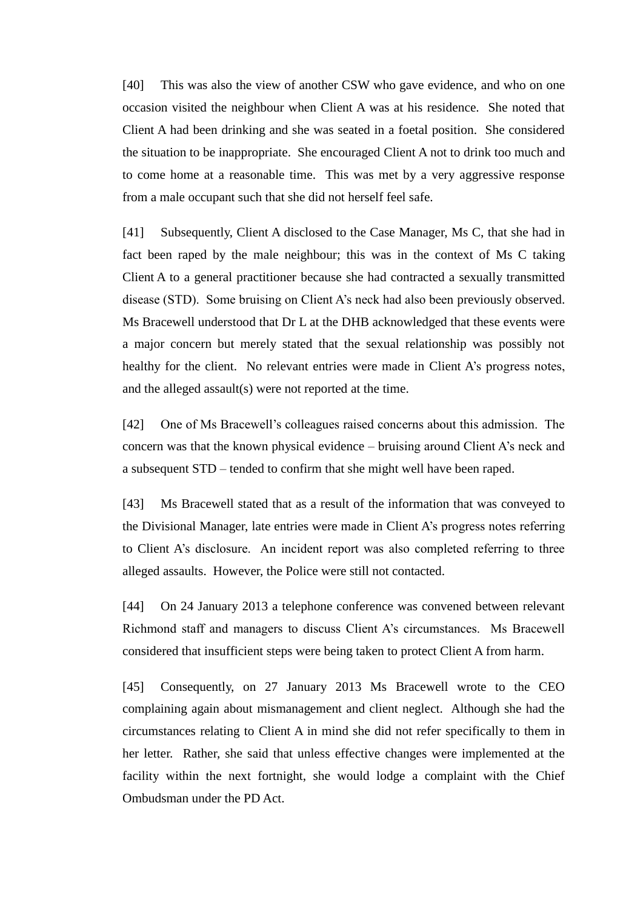[40] This was also the view of another CSW who gave evidence, and who on one occasion visited the neighbour when Client A was at his residence. She noted that Client A had been drinking and she was seated in a foetal position. She considered the situation to be inappropriate. She encouraged Client A not to drink too much and to come home at a reasonable time. This was met by a very aggressive response from a male occupant such that she did not herself feel safe.

[41] Subsequently, Client A disclosed to the Case Manager, Ms C, that she had in fact been raped by the male neighbour; this was in the context of Ms C taking Client A to a general practitioner because she had contracted a sexually transmitted disease (STD). Some bruising on Client A's neck had also been previously observed. Ms Bracewell understood that Dr L at the DHB acknowledged that these events were a major concern but merely stated that the sexual relationship was possibly not healthy for the client. No relevant entries were made in Client A's progress notes, and the alleged assault(s) were not reported at the time.

[42] One of Ms Bracewell's colleagues raised concerns about this admission. The concern was that the known physical evidence – bruising around Client A's neck and a subsequent STD – tended to confirm that she might well have been raped.

[43] Ms Bracewell stated that as a result of the information that was conveyed to the Divisional Manager, late entries were made in Client A's progress notes referring to Client A's disclosure. An incident report was also completed referring to three alleged assaults. However, the Police were still not contacted.

[44] On 24 January 2013 a telephone conference was convened between relevant Richmond staff and managers to discuss Client A's circumstances. Ms Bracewell considered that insufficient steps were being taken to protect Client A from harm.

[45] Consequently, on 27 January 2013 Ms Bracewell wrote to the CEO complaining again about mismanagement and client neglect. Although she had the circumstances relating to Client A in mind she did not refer specifically to them in her letter. Rather, she said that unless effective changes were implemented at the facility within the next fortnight, she would lodge a complaint with the Chief Ombudsman under the PD Act.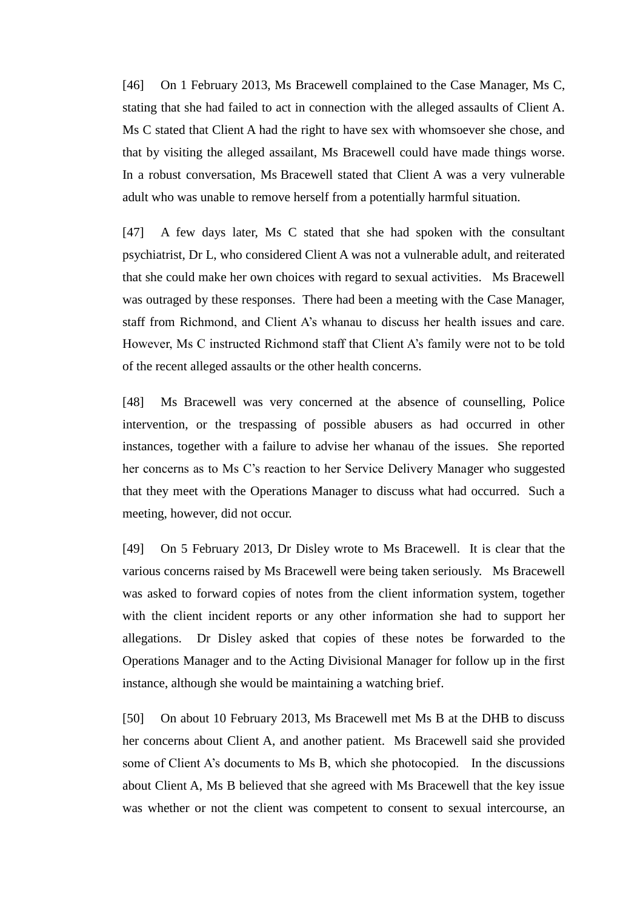[46] On 1 February 2013, Ms Bracewell complained to the Case Manager, Ms C, stating that she had failed to act in connection with the alleged assaults of Client A. Ms C stated that Client A had the right to have sex with whomsoever she chose, and that by visiting the alleged assailant, Ms Bracewell could have made things worse. In a robust conversation, Ms Bracewell stated that Client A was a very vulnerable adult who was unable to remove herself from a potentially harmful situation.

[47] A few days later, Ms C stated that she had spoken with the consultant psychiatrist, Dr L, who considered Client A was not a vulnerable adult, and reiterated that she could make her own choices with regard to sexual activities. Ms Bracewell was outraged by these responses. There had been a meeting with the Case Manager, staff from Richmond, and Client A's whanau to discuss her health issues and care. However, Ms C instructed Richmond staff that Client A's family were not to be told of the recent alleged assaults or the other health concerns.

[48] Ms Bracewell was very concerned at the absence of counselling, Police intervention, or the trespassing of possible abusers as had occurred in other instances, together with a failure to advise her whanau of the issues. She reported her concerns as to Ms C's reaction to her Service Delivery Manager who suggested that they meet with the Operations Manager to discuss what had occurred. Such a meeting, however, did not occur.

[49] On 5 February 2013, Dr Disley wrote to Ms Bracewell. It is clear that the various concerns raised by Ms Bracewell were being taken seriously. Ms Bracewell was asked to forward copies of notes from the client information system, together with the client incident reports or any other information she had to support her allegations. Dr Disley asked that copies of these notes be forwarded to the Operations Manager and to the Acting Divisional Manager for follow up in the first instance, although she would be maintaining a watching brief.

[50] On about 10 February 2013, Ms Bracewell met Ms B at the DHB to discuss her concerns about Client A, and another patient. Ms Bracewell said she provided some of Client A's documents to Ms B, which she photocopied. In the discussions about Client A, Ms B believed that she agreed with Ms Bracewell that the key issue was whether or not the client was competent to consent to sexual intercourse, an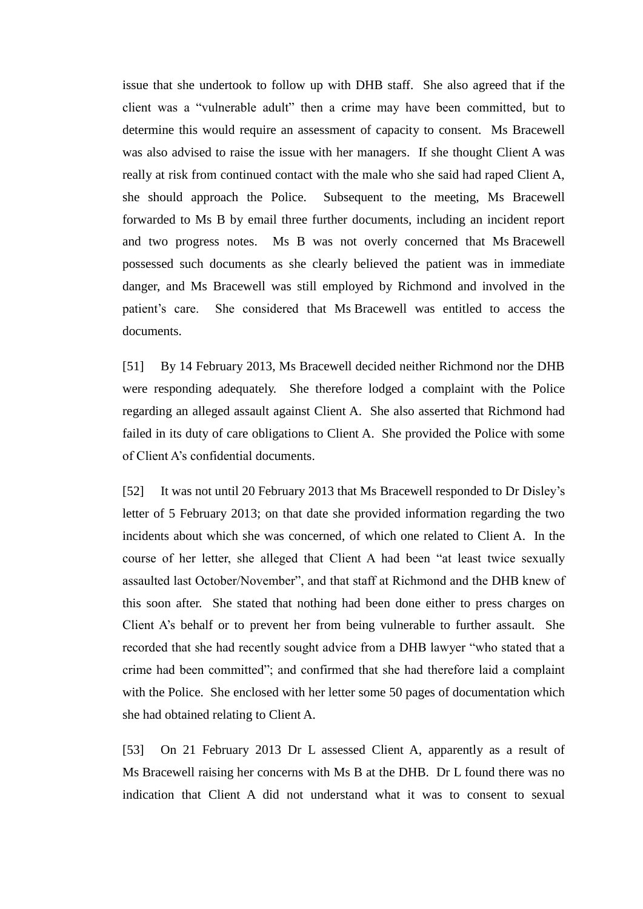issue that she undertook to follow up with DHB staff. She also agreed that if the client was a "vulnerable adult" then a crime may have been committed, but to determine this would require an assessment of capacity to consent. Ms Bracewell was also advised to raise the issue with her managers. If she thought Client A was really at risk from continued contact with the male who she said had raped Client A, she should approach the Police. Subsequent to the meeting, Ms Bracewell forwarded to Ms B by email three further documents, including an incident report and two progress notes. Ms B was not overly concerned that Ms Bracewell possessed such documents as she clearly believed the patient was in immediate danger, and Ms Bracewell was still employed by Richmond and involved in the patient's care. She considered that Ms Bracewell was entitled to access the documents.

[51] By 14 February 2013, Ms Bracewell decided neither Richmond nor the DHB were responding adequately. She therefore lodged a complaint with the Police regarding an alleged assault against Client A. She also asserted that Richmond had failed in its duty of care obligations to Client A. She provided the Police with some of Client A's confidential documents.

[52] It was not until 20 February 2013 that Ms Bracewell responded to Dr Disley's letter of 5 February 2013; on that date she provided information regarding the two incidents about which she was concerned, of which one related to Client A. In the course of her letter, she alleged that Client A had been "at least twice sexually assaulted last October/November", and that staff at Richmond and the DHB knew of this soon after. She stated that nothing had been done either to press charges on Client A's behalf or to prevent her from being vulnerable to further assault. She recorded that she had recently sought advice from a DHB lawyer "who stated that a crime had been committed"; and confirmed that she had therefore laid a complaint with the Police. She enclosed with her letter some 50 pages of documentation which she had obtained relating to Client A.

[53] On 21 February 2013 Dr L assessed Client A, apparently as a result of Ms Bracewell raising her concerns with Ms B at the DHB. Dr L found there was no indication that Client A did not understand what it was to consent to sexual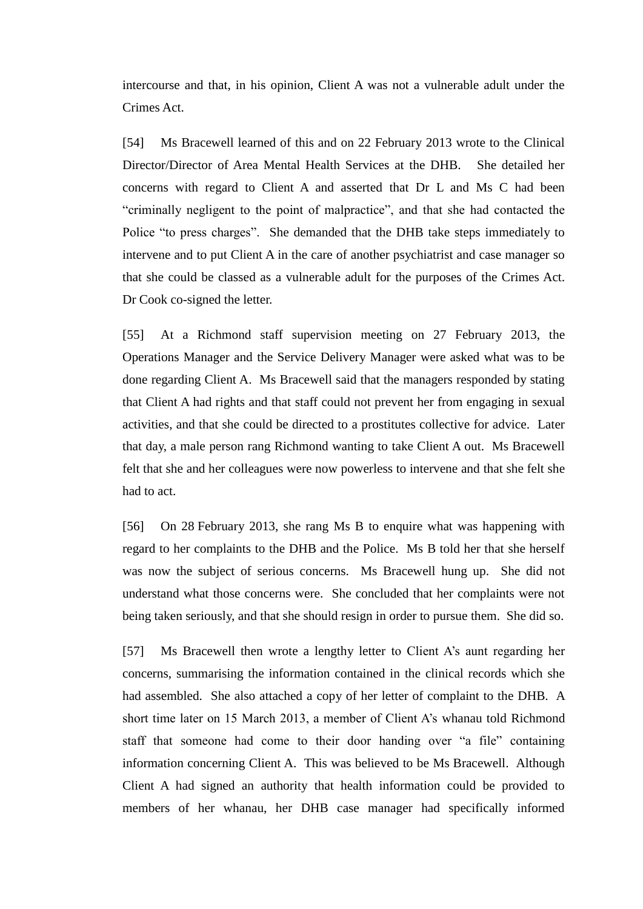intercourse and that, in his opinion, Client A was not a vulnerable adult under the Crimes Act.

[54] Ms Bracewell learned of this and on 22 February 2013 wrote to the Clinical Director/Director of Area Mental Health Services at the DHB. She detailed her concerns with regard to Client A and asserted that Dr L and Ms C had been "criminally negligent to the point of malpractice", and that she had contacted the Police "to press charges". She demanded that the DHB take steps immediately to intervene and to put Client A in the care of another psychiatrist and case manager so that she could be classed as a vulnerable adult for the purposes of the Crimes Act. Dr Cook co-signed the letter.

[55] At a Richmond staff supervision meeting on 27 February 2013, the Operations Manager and the Service Delivery Manager were asked what was to be done regarding Client A. Ms Bracewell said that the managers responded by stating that Client A had rights and that staff could not prevent her from engaging in sexual activities, and that she could be directed to a prostitutes collective for advice. Later that day, a male person rang Richmond wanting to take Client A out. Ms Bracewell felt that she and her colleagues were now powerless to intervene and that she felt she had to act.

[56] On 28 February 2013, she rang Ms B to enquire what was happening with regard to her complaints to the DHB and the Police. Ms B told her that she herself was now the subject of serious concerns. Ms Bracewell hung up. She did not understand what those concerns were. She concluded that her complaints were not being taken seriously, and that she should resign in order to pursue them. She did so.

[57] Ms Bracewell then wrote a lengthy letter to Client A's aunt regarding her concerns, summarising the information contained in the clinical records which she had assembled. She also attached a copy of her letter of complaint to the DHB. A short time later on 15 March 2013, a member of Client A's whanau told Richmond staff that someone had come to their door handing over "a file" containing information concerning Client A. This was believed to be Ms Bracewell. Although Client A had signed an authority that health information could be provided to members of her whanau, her DHB case manager had specifically informed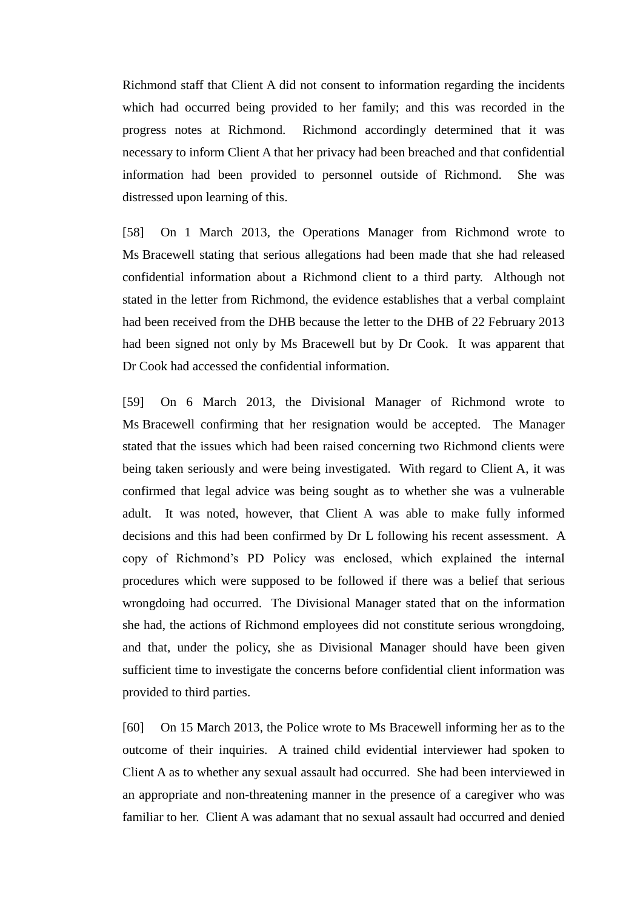Richmond staff that Client A did not consent to information regarding the incidents which had occurred being provided to her family; and this was recorded in the progress notes at Richmond. Richmond accordingly determined that it was necessary to inform Client A that her privacy had been breached and that confidential information had been provided to personnel outside of Richmond. She was distressed upon learning of this.

[58] On 1 March 2013, the Operations Manager from Richmond wrote to Ms Bracewell stating that serious allegations had been made that she had released confidential information about a Richmond client to a third party. Although not stated in the letter from Richmond, the evidence establishes that a verbal complaint had been received from the DHB because the letter to the DHB of 22 February 2013 had been signed not only by Ms Bracewell but by Dr Cook. It was apparent that Dr Cook had accessed the confidential information.

[59] On 6 March 2013, the Divisional Manager of Richmond wrote to Ms Bracewell confirming that her resignation would be accepted. The Manager stated that the issues which had been raised concerning two Richmond clients were being taken seriously and were being investigated. With regard to Client A, it was confirmed that legal advice was being sought as to whether she was a vulnerable adult. It was noted, however, that Client A was able to make fully informed decisions and this had been confirmed by Dr L following his recent assessment. A copy of Richmond's PD Policy was enclosed, which explained the internal procedures which were supposed to be followed if there was a belief that serious wrongdoing had occurred. The Divisional Manager stated that on the information she had, the actions of Richmond employees did not constitute serious wrongdoing, and that, under the policy, she as Divisional Manager should have been given sufficient time to investigate the concerns before confidential client information was provided to third parties.

[60] On 15 March 2013, the Police wrote to Ms Bracewell informing her as to the outcome of their inquiries. A trained child evidential interviewer had spoken to Client A as to whether any sexual assault had occurred. She had been interviewed in an appropriate and non-threatening manner in the presence of a caregiver who was familiar to her. Client A was adamant that no sexual assault had occurred and denied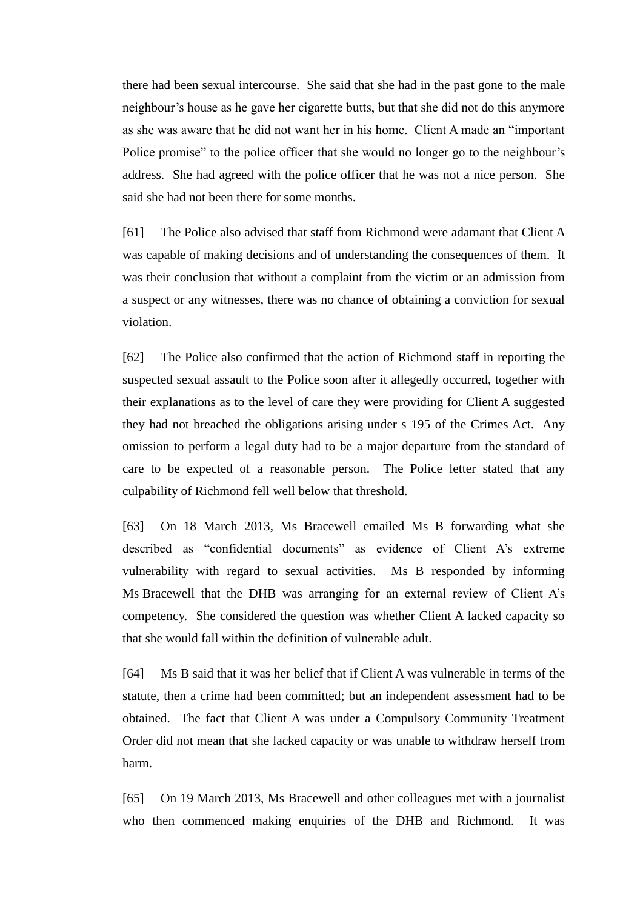there had been sexual intercourse. She said that she had in the past gone to the male neighbour's house as he gave her cigarette butts, but that she did not do this anymore as she was aware that he did not want her in his home. Client A made an "important Police promise" to the police officer that she would no longer go to the neighbour's address. She had agreed with the police officer that he was not a nice person. She said she had not been there for some months.

[61] The Police also advised that staff from Richmond were adamant that Client A was capable of making decisions and of understanding the consequences of them. It was their conclusion that without a complaint from the victim or an admission from a suspect or any witnesses, there was no chance of obtaining a conviction for sexual violation.

[62] The Police also confirmed that the action of Richmond staff in reporting the suspected sexual assault to the Police soon after it allegedly occurred, together with their explanations as to the level of care they were providing for Client A suggested they had not breached the obligations arising under s 195 of the Crimes Act. Any omission to perform a legal duty had to be a major departure from the standard of care to be expected of a reasonable person. The Police letter stated that any culpability of Richmond fell well below that threshold.

[63] On 18 March 2013, Ms Bracewell emailed Ms B forwarding what she described as "confidential documents" as evidence of Client A's extreme vulnerability with regard to sexual activities. Ms B responded by informing Ms Bracewell that the DHB was arranging for an external review of Client A's competency. She considered the question was whether Client A lacked capacity so that she would fall within the definition of vulnerable adult.

[64] Ms B said that it was her belief that if Client A was vulnerable in terms of the statute, then a crime had been committed; but an independent assessment had to be obtained. The fact that Client A was under a Compulsory Community Treatment Order did not mean that she lacked capacity or was unable to withdraw herself from harm.

[65] On 19 March 2013, Ms Bracewell and other colleagues met with a journalist who then commenced making enquiries of the DHB and Richmond. It was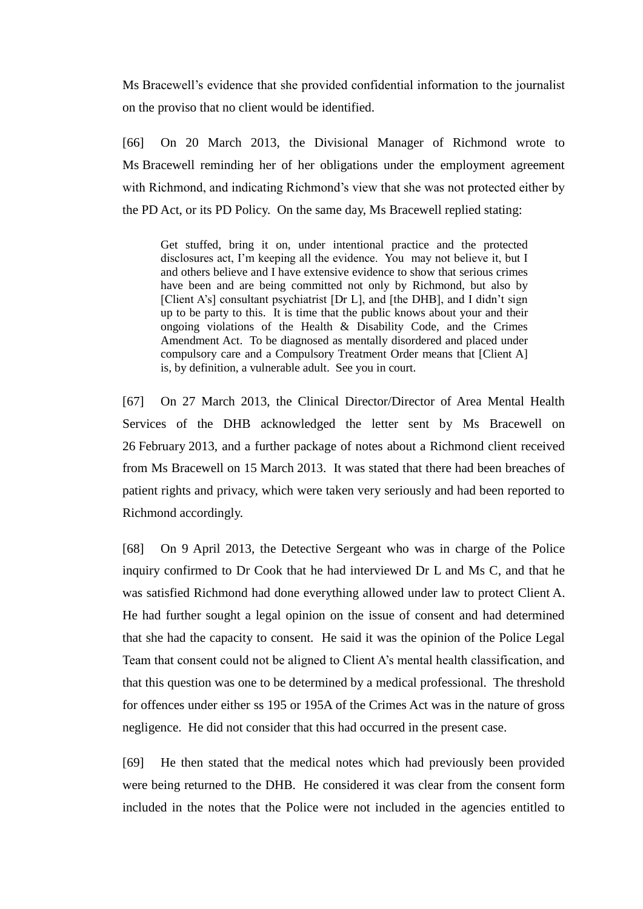Ms Bracewell's evidence that she provided confidential information to the journalist on the proviso that no client would be identified.

[66] On 20 March 2013, the Divisional Manager of Richmond wrote to Ms Bracewell reminding her of her obligations under the employment agreement with Richmond, and indicating Richmond's view that she was not protected either by the PD Act, or its PD Policy. On the same day, Ms Bracewell replied stating:

Get stuffed, bring it on, under intentional practice and the protected disclosures act, I'm keeping all the evidence. You may not believe it, but I and others believe and I have extensive evidence to show that serious crimes have been and are being committed not only by Richmond, but also by [Client A's] consultant psychiatrist [Dr L], and [the DHB], and I didn't sign up to be party to this. It is time that the public knows about your and their ongoing violations of the Health  $\&$  Disability Code, and the Crimes Amendment Act. To be diagnosed as mentally disordered and placed under compulsory care and a Compulsory Treatment Order means that [Client A] is, by definition, a vulnerable adult. See you in court.

[67] On 27 March 2013, the Clinical Director/Director of Area Mental Health Services of the DHB acknowledged the letter sent by Ms Bracewell on 26 February 2013, and a further package of notes about a Richmond client received from Ms Bracewell on 15 March 2013. It was stated that there had been breaches of patient rights and privacy, which were taken very seriously and had been reported to Richmond accordingly.

[68] On 9 April 2013, the Detective Sergeant who was in charge of the Police inquiry confirmed to Dr Cook that he had interviewed Dr L and Ms C, and that he was satisfied Richmond had done everything allowed under law to protect Client A. He had further sought a legal opinion on the issue of consent and had determined that she had the capacity to consent. He said it was the opinion of the Police Legal Team that consent could not be aligned to Client A's mental health classification, and that this question was one to be determined by a medical professional. The threshold for offences under either ss 195 or 195A of the Crimes Act was in the nature of gross negligence. He did not consider that this had occurred in the present case.

[69] He then stated that the medical notes which had previously been provided were being returned to the DHB. He considered it was clear from the consent form included in the notes that the Police were not included in the agencies entitled to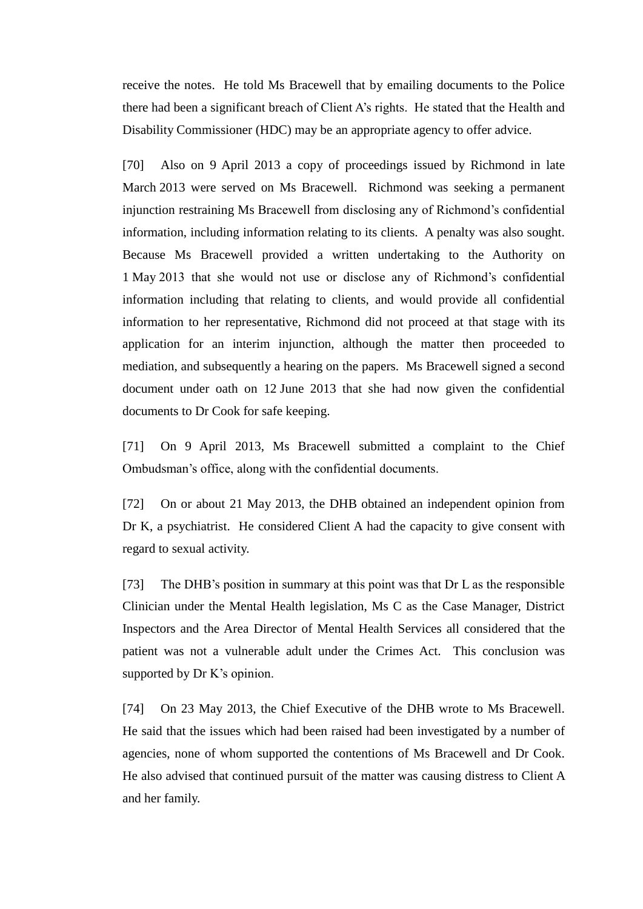receive the notes. He told Ms Bracewell that by emailing documents to the Police there had been a significant breach of Client A's rights. He stated that the Health and Disability Commissioner (HDC) may be an appropriate agency to offer advice.

[70] Also on 9 April 2013 a copy of proceedings issued by Richmond in late March 2013 were served on Ms Bracewell. Richmond was seeking a permanent injunction restraining Ms Bracewell from disclosing any of Richmond's confidential information, including information relating to its clients. A penalty was also sought. Because Ms Bracewell provided a written undertaking to the Authority on 1 May 2013 that she would not use or disclose any of Richmond's confidential information including that relating to clients, and would provide all confidential information to her representative, Richmond did not proceed at that stage with its application for an interim injunction, although the matter then proceeded to mediation, and subsequently a hearing on the papers. Ms Bracewell signed a second document under oath on 12 June 2013 that she had now given the confidential documents to Dr Cook for safe keeping.

[71] On 9 April 2013, Ms Bracewell submitted a complaint to the Chief Ombudsman's office, along with the confidential documents.

[72] On or about 21 May 2013, the DHB obtained an independent opinion from Dr K, a psychiatrist. He considered Client A had the capacity to give consent with regard to sexual activity.

[73] The DHB's position in summary at this point was that Dr L as the responsible Clinician under the Mental Health legislation, Ms C as the Case Manager, District Inspectors and the Area Director of Mental Health Services all considered that the patient was not a vulnerable adult under the Crimes Act. This conclusion was supported by Dr K's opinion.

[74] On 23 May 2013, the Chief Executive of the DHB wrote to Ms Bracewell. He said that the issues which had been raised had been investigated by a number of agencies, none of whom supported the contentions of Ms Bracewell and Dr Cook. He also advised that continued pursuit of the matter was causing distress to Client A and her family.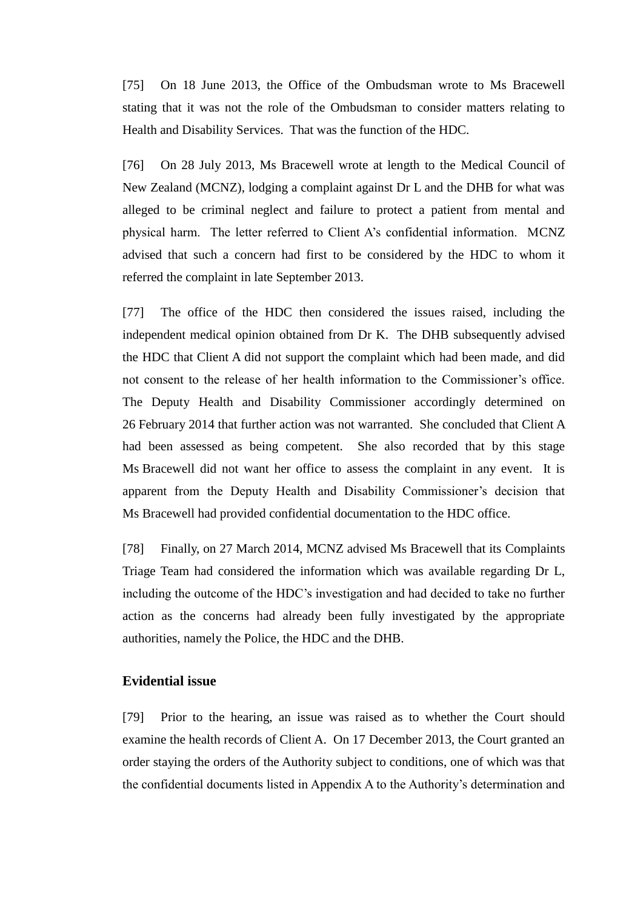[75] On 18 June 2013, the Office of the Ombudsman wrote to Ms Bracewell stating that it was not the role of the Ombudsman to consider matters relating to Health and Disability Services. That was the function of the HDC.

[76] On 28 July 2013, Ms Bracewell wrote at length to the Medical Council of New Zealand (MCNZ), lodging a complaint against Dr L and the DHB for what was alleged to be criminal neglect and failure to protect a patient from mental and physical harm. The letter referred to Client A's confidential information. MCNZ advised that such a concern had first to be considered by the HDC to whom it referred the complaint in late September 2013.

[77] The office of the HDC then considered the issues raised, including the independent medical opinion obtained from Dr K. The DHB subsequently advised the HDC that Client A did not support the complaint which had been made, and did not consent to the release of her health information to the Commissioner's office. The Deputy Health and Disability Commissioner accordingly determined on 26 February 2014 that further action was not warranted. She concluded that Client A had been assessed as being competent. She also recorded that by this stage Ms Bracewell did not want her office to assess the complaint in any event. It is apparent from the Deputy Health and Disability Commissioner's decision that Ms Bracewell had provided confidential documentation to the HDC office.

[78] Finally, on 27 March 2014, MCNZ advised Ms Bracewell that its Complaints Triage Team had considered the information which was available regarding Dr L, including the outcome of the HDC's investigation and had decided to take no further action as the concerns had already been fully investigated by the appropriate authorities, namely the Police, the HDC and the DHB.

## **Evidential issue**

[79] Prior to the hearing, an issue was raised as to whether the Court should examine the health records of Client A. On 17 December 2013, the Court granted an order staying the orders of the Authority subject to conditions, one of which was that the confidential documents listed in Appendix A to the Authority's determination and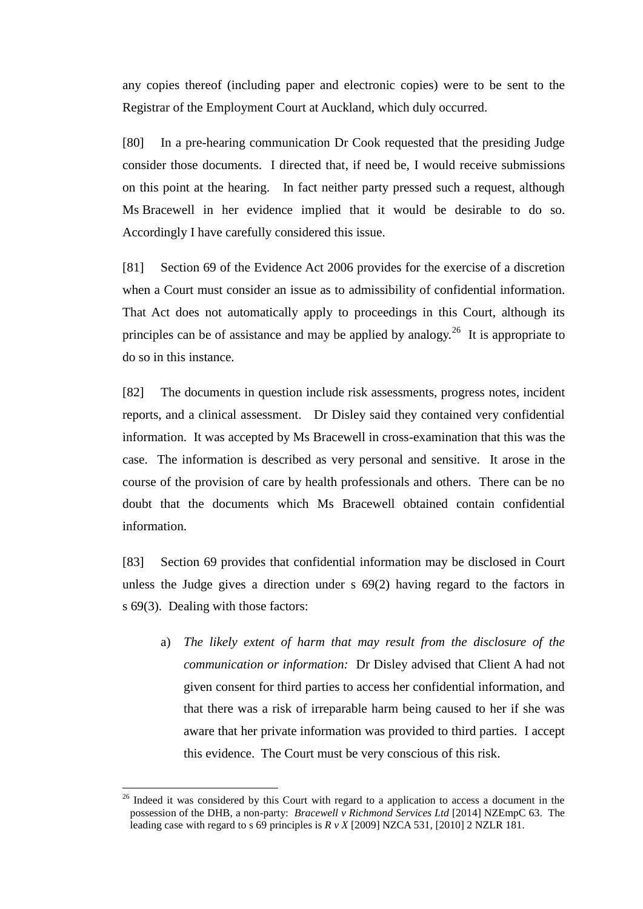any copies thereof (including paper and electronic copies) were to be sent to the Registrar of the Employment Court at Auckland, which duly occurred.

[80] In a pre-hearing communication Dr Cook requested that the presiding Judge consider those documents. I directed that, if need be, I would receive submissions on this point at the hearing. In fact neither party pressed such a request, although Ms Bracewell in her evidence implied that it would be desirable to do so. Accordingly I have carefully considered this issue.

[81] Section 69 of the Evidence Act 2006 provides for the exercise of a discretion when a Court must consider an issue as to admissibility of confidential information. That Act does not automatically apply to proceedings in this Court, although its principles can be of assistance and may be applied by analogy.<sup>26</sup> It is appropriate to do so in this instance.

[82] The documents in question include risk assessments, progress notes, incident reports, and a clinical assessment. Dr Disley said they contained very confidential information. It was accepted by Ms Bracewell in cross-examination that this was the case. The information is described as very personal and sensitive. It arose in the course of the provision of care by health professionals and others. There can be no doubt that the documents which Ms Bracewell obtained contain confidential information.

[83] Section 69 provides that confidential information may be disclosed in Court unless the Judge gives a direction under s 69(2) having regard to the factors in s 69(3). Dealing with those factors:

a) *The likely extent of harm that may result from the disclosure of the communication or information:* Dr Disley advised that Client A had not given consent for third parties to access her confidential information, and that there was a risk of irreparable harm being caused to her if she was aware that her private information was provided to third parties. I accept this evidence. The Court must be very conscious of this risk.

<sup>&</sup>lt;sup>26</sup> Indeed it was considered by this Court with regard to a application to access a document in the possession of the DHB, a non-party: *Bracewell v Richmond Services Ltd* [2014] NZEmpC 63. The leading case with regard to s 69 principles is  $R \nu X$  [2009] NZCA 531, [2010] 2 NZLR 181.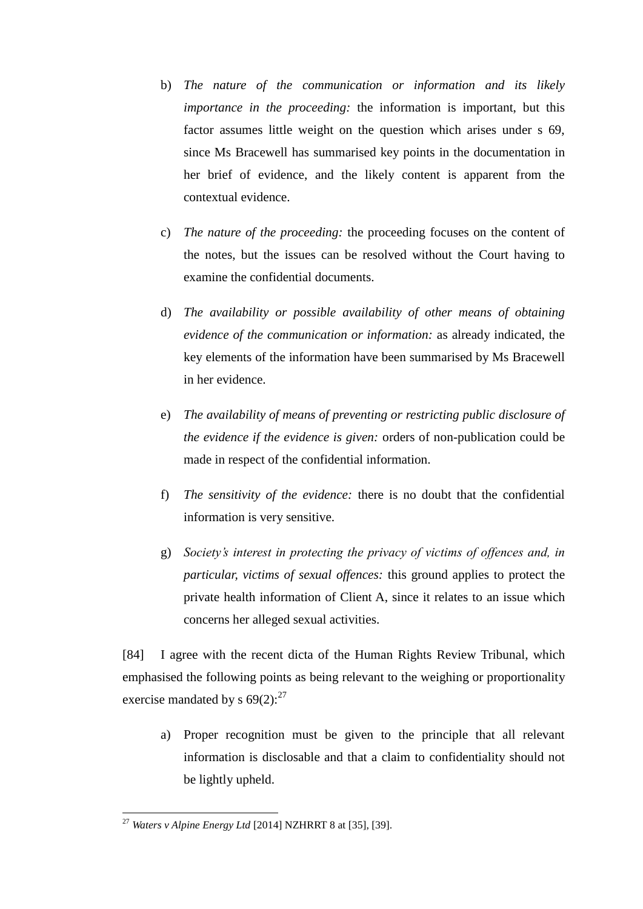- b) *The nature of the communication or information and its likely importance in the proceeding:* the information is important, but this factor assumes little weight on the question which arises under s 69, since Ms Bracewell has summarised key points in the documentation in her brief of evidence, and the likely content is apparent from the contextual evidence.
- c) *The nature of the proceeding:* the proceeding focuses on the content of the notes, but the issues can be resolved without the Court having to examine the confidential documents.
- d) *The availability or possible availability of other means of obtaining evidence of the communication or information:* as already indicated, the key elements of the information have been summarised by Ms Bracewell in her evidence.
- e) *The availability of means of preventing or restricting public disclosure of the evidence if the evidence is given:* orders of non-publication could be made in respect of the confidential information.
- f) *The sensitivity of the evidence:* there is no doubt that the confidential information is very sensitive.
- g) *Society's interest in protecting the privacy of victims of offences and, in particular, victims of sexual offences:* this ground applies to protect the private health information of Client A, since it relates to an issue which concerns her alleged sexual activities.

[84] I agree with the recent dicta of the Human Rights Review Tribunal, which emphasised the following points as being relevant to the weighing or proportionality exercise mandated by s  $69(2)$ :<sup>27</sup>

a) Proper recognition must be given to the principle that all relevant information is disclosable and that a claim to confidentiality should not be lightly upheld.

<sup>27</sup> *Waters v Alpine Energy Ltd* [2014] NZHRRT 8 at [35], [39].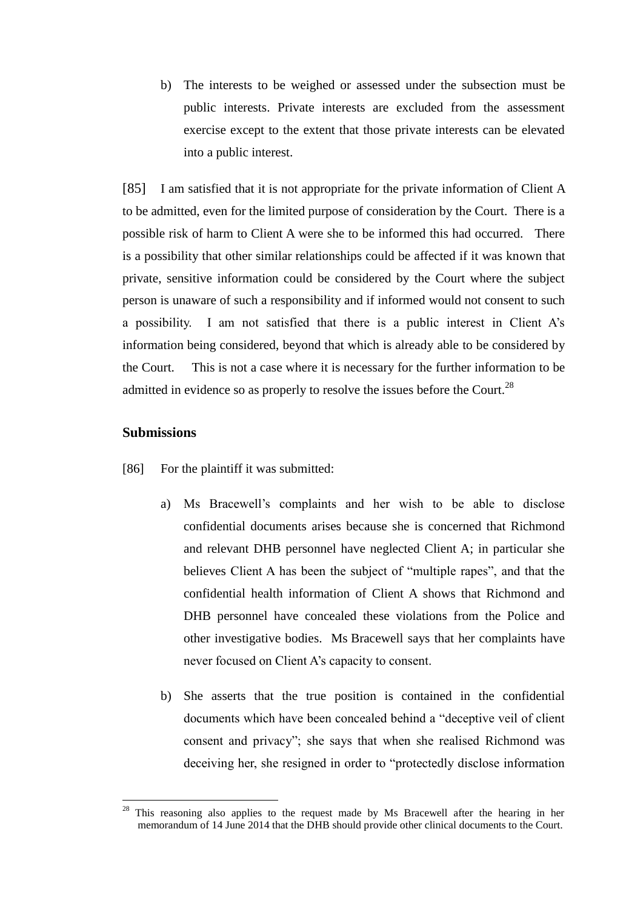b) The interests to be weighed or assessed under the subsection must be public interests. Private interests are excluded from the assessment exercise except to the extent that those private interests can be elevated into a public interest.

[85] I am satisfied that it is not appropriate for the private information of Client A to be admitted, even for the limited purpose of consideration by the Court. There is a possible risk of harm to Client A were she to be informed this had occurred. There is a possibility that other similar relationships could be affected if it was known that private, sensitive information could be considered by the Court where the subject person is unaware of such a responsibility and if informed would not consent to such a possibility. I am not satisfied that there is a public interest in Client A's information being considered, beyond that which is already able to be considered by the Court. This is not a case where it is necessary for the further information to be admitted in evidence so as properly to resolve the issues before the Court.<sup>28</sup>

### **Submissions**

- [86] For the plaintiff it was submitted:
	- a) Ms Bracewell's complaints and her wish to be able to disclose confidential documents arises because she is concerned that Richmond and relevant DHB personnel have neglected Client A; in particular she believes Client A has been the subject of "multiple rapes", and that the confidential health information of Client A shows that Richmond and DHB personnel have concealed these violations from the Police and other investigative bodies. Ms Bracewell says that her complaints have never focused on Client A's capacity to consent.
	- b) She asserts that the true position is contained in the confidential documents which have been concealed behind a "deceptive veil of client consent and privacy"; she says that when she realised Richmond was deceiving her, she resigned in order to "protectedly disclose information

<sup>28</sup> This reasoning also applies to the request made by Ms Bracewell after the hearing in her memorandum of 14 June 2014 that the DHB should provide other clinical documents to the Court.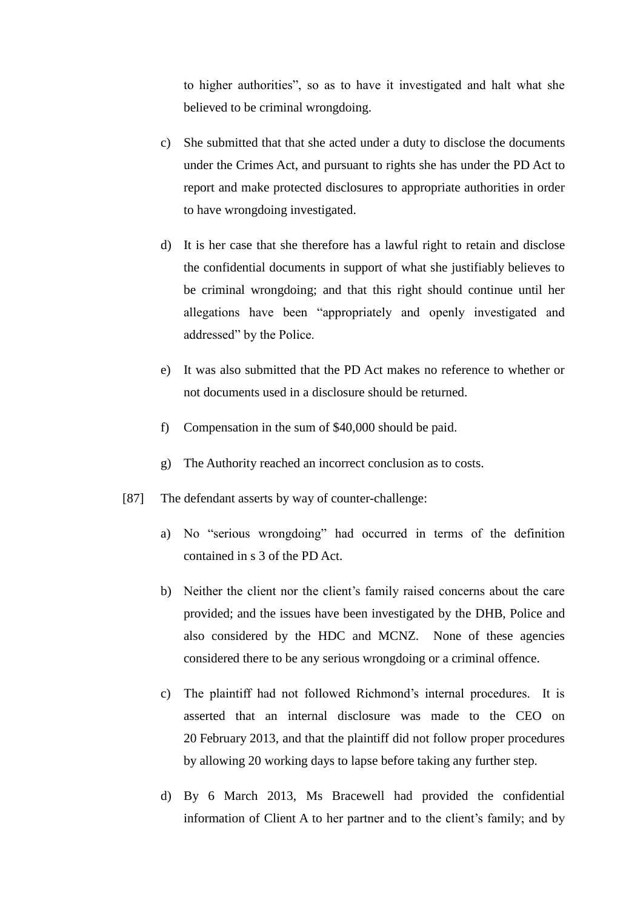to higher authorities", so as to have it investigated and halt what she believed to be criminal wrongdoing.

- c) She submitted that that she acted under a duty to disclose the documents under the Crimes Act, and pursuant to rights she has under the PD Act to report and make protected disclosures to appropriate authorities in order to have wrongdoing investigated.
- d) It is her case that she therefore has a lawful right to retain and disclose the confidential documents in support of what she justifiably believes to be criminal wrongdoing; and that this right should continue until her allegations have been "appropriately and openly investigated and addressed" by the Police.
- e) It was also submitted that the PD Act makes no reference to whether or not documents used in a disclosure should be returned.
- f) Compensation in the sum of \$40,000 should be paid.
- g) The Authority reached an incorrect conclusion as to costs.
- [87] The defendant asserts by way of counter-challenge:
	- a) No "serious wrongdoing" had occurred in terms of the definition contained in s 3 of the PD Act.
	- b) Neither the client nor the client's family raised concerns about the care provided; and the issues have been investigated by the DHB, Police and also considered by the HDC and MCNZ. None of these agencies considered there to be any serious wrongdoing or a criminal offence.
	- c) The plaintiff had not followed Richmond's internal procedures. It is asserted that an internal disclosure was made to the CEO on 20 February 2013, and that the plaintiff did not follow proper procedures by allowing 20 working days to lapse before taking any further step.
	- d) By 6 March 2013, Ms Bracewell had provided the confidential information of Client A to her partner and to the client's family; and by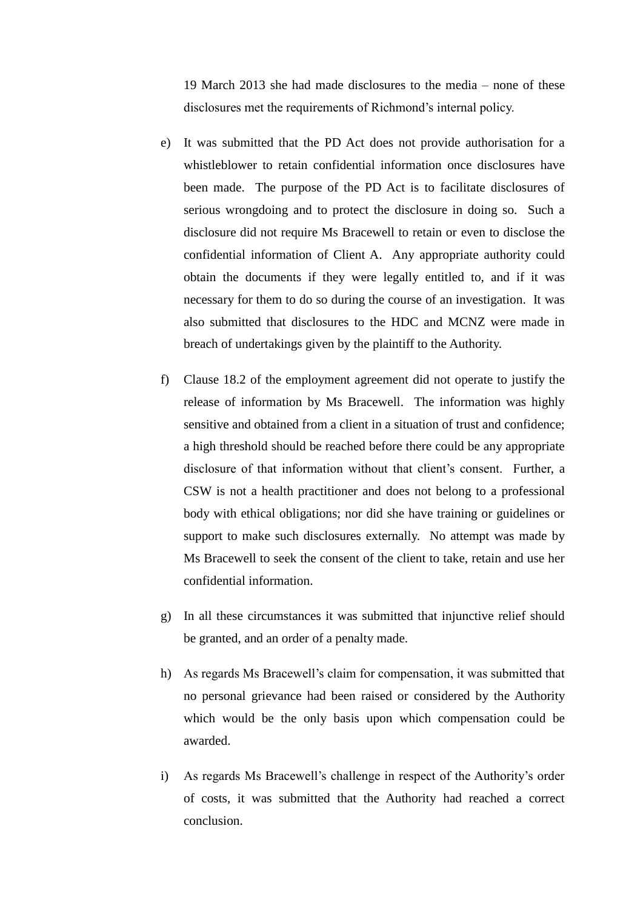19 March 2013 she had made disclosures to the media – none of these disclosures met the requirements of Richmond's internal policy.

- e) It was submitted that the PD Act does not provide authorisation for a whistleblower to retain confidential information once disclosures have been made. The purpose of the PD Act is to facilitate disclosures of serious wrongdoing and to protect the disclosure in doing so. Such a disclosure did not require Ms Bracewell to retain or even to disclose the confidential information of Client A. Any appropriate authority could obtain the documents if they were legally entitled to, and if it was necessary for them to do so during the course of an investigation. It was also submitted that disclosures to the HDC and MCNZ were made in breach of undertakings given by the plaintiff to the Authority.
- f) Clause 18.2 of the employment agreement did not operate to justify the release of information by Ms Bracewell. The information was highly sensitive and obtained from a client in a situation of trust and confidence; a high threshold should be reached before there could be any appropriate disclosure of that information without that client's consent. Further, a CSW is not a health practitioner and does not belong to a professional body with ethical obligations; nor did she have training or guidelines or support to make such disclosures externally. No attempt was made by Ms Bracewell to seek the consent of the client to take, retain and use her confidential information.
- g) In all these circumstances it was submitted that injunctive relief should be granted, and an order of a penalty made.
- h) As regards Ms Bracewell's claim for compensation, it was submitted that no personal grievance had been raised or considered by the Authority which would be the only basis upon which compensation could be awarded.
- i) As regards Ms Bracewell's challenge in respect of the Authority's order of costs, it was submitted that the Authority had reached a correct conclusion.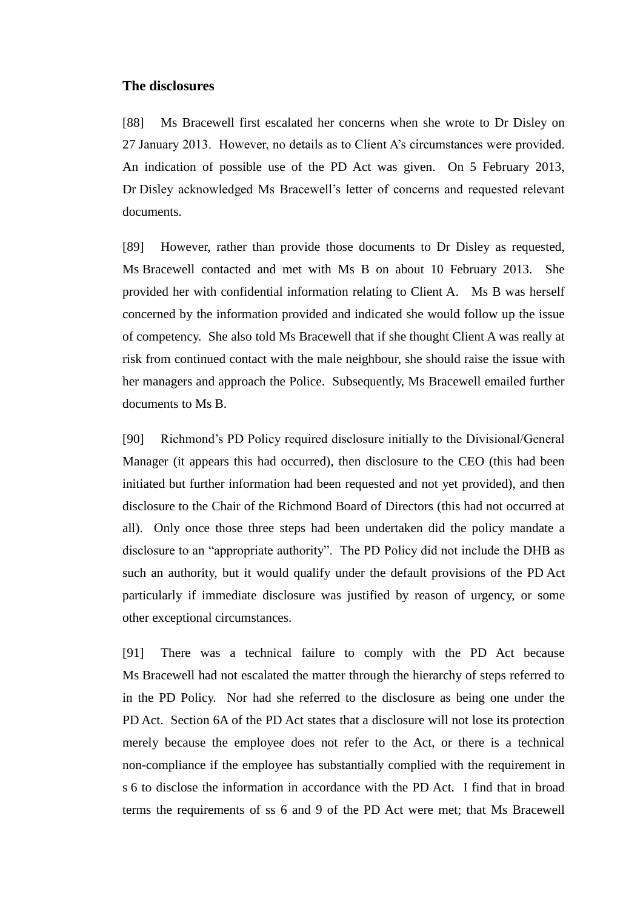### **The disclosures**

[88] Ms Bracewell first escalated her concerns when she wrote to Dr Disley on 27 January 2013. However, no details as to Client A's circumstances were provided. An indication of possible use of the PD Act was given. On 5 February 2013, Dr Disley acknowledged Ms Bracewell's letter of concerns and requested relevant documents.

[89] However, rather than provide those documents to Dr Disley as requested, Ms Bracewell contacted and met with Ms B on about 10 February 2013. She provided her with confidential information relating to Client A. Ms B was herself concerned by the information provided and indicated she would follow up the issue of competency. She also told Ms Bracewell that if she thought Client A was really at risk from continued contact with the male neighbour, she should raise the issue with her managers and approach the Police. Subsequently, Ms Bracewell emailed further documents to Ms B.

[90] Richmond's PD Policy required disclosure initially to the Divisional/General Manager (it appears this had occurred), then disclosure to the CEO (this had been initiated but further information had been requested and not yet provided), and then disclosure to the Chair of the Richmond Board of Directors (this had not occurred at all). Only once those three steps had been undertaken did the policy mandate a disclosure to an "appropriate authority". The PD Policy did not include the DHB as such an authority, but it would qualify under the default provisions of the PD Act particularly if immediate disclosure was justified by reason of urgency, or some other exceptional circumstances.

[91] There was a technical failure to comply with the PD Act because Ms Bracewell had not escalated the matter through the hierarchy of steps referred to in the PD Policy. Nor had she referred to the disclosure as being one under the PD Act. Section 6A of the PD Act states that a disclosure will not lose its protection merely because the employee does not refer to the Act, or there is a technical non-compliance if the employee has substantially complied with the requirement in s 6 to disclose the information in accordance with the PD Act. I find that in broad terms the requirements of ss 6 and 9 of the PD Act were met; that Ms Bracewell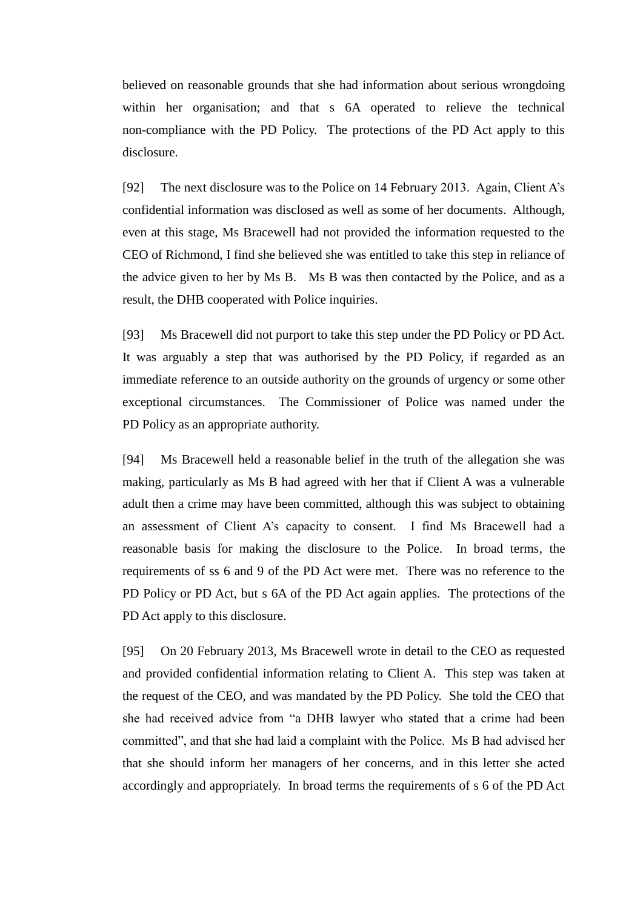believed on reasonable grounds that she had information about serious wrongdoing within her organisation; and that s 6A operated to relieve the technical non-compliance with the PD Policy. The protections of the PD Act apply to this disclosure.

[92] The next disclosure was to the Police on 14 February 2013. Again, Client A's confidential information was disclosed as well as some of her documents. Although, even at this stage, Ms Bracewell had not provided the information requested to the CEO of Richmond, I find she believed she was entitled to take this step in reliance of the advice given to her by Ms B. Ms B was then contacted by the Police, and as a result, the DHB cooperated with Police inquiries.

[93] Ms Bracewell did not purport to take this step under the PD Policy or PD Act. It was arguably a step that was authorised by the PD Policy, if regarded as an immediate reference to an outside authority on the grounds of urgency or some other exceptional circumstances. The Commissioner of Police was named under the PD Policy as an appropriate authority.

[94] Ms Bracewell held a reasonable belief in the truth of the allegation she was making, particularly as Ms B had agreed with her that if Client A was a vulnerable adult then a crime may have been committed, although this was subject to obtaining an assessment of Client A's capacity to consent. I find Ms Bracewell had a reasonable basis for making the disclosure to the Police. In broad terms, the requirements of ss 6 and 9 of the PD Act were met. There was no reference to the PD Policy or PD Act, but s 6A of the PD Act again applies. The protections of the PD Act apply to this disclosure.

[95] On 20 February 2013, Ms Bracewell wrote in detail to the CEO as requested and provided confidential information relating to Client A. This step was taken at the request of the CEO, and was mandated by the PD Policy. She told the CEO that she had received advice from "a DHB lawyer who stated that a crime had been committed", and that she had laid a complaint with the Police. Ms B had advised her that she should inform her managers of her concerns, and in this letter she acted accordingly and appropriately. In broad terms the requirements of s 6 of the PD Act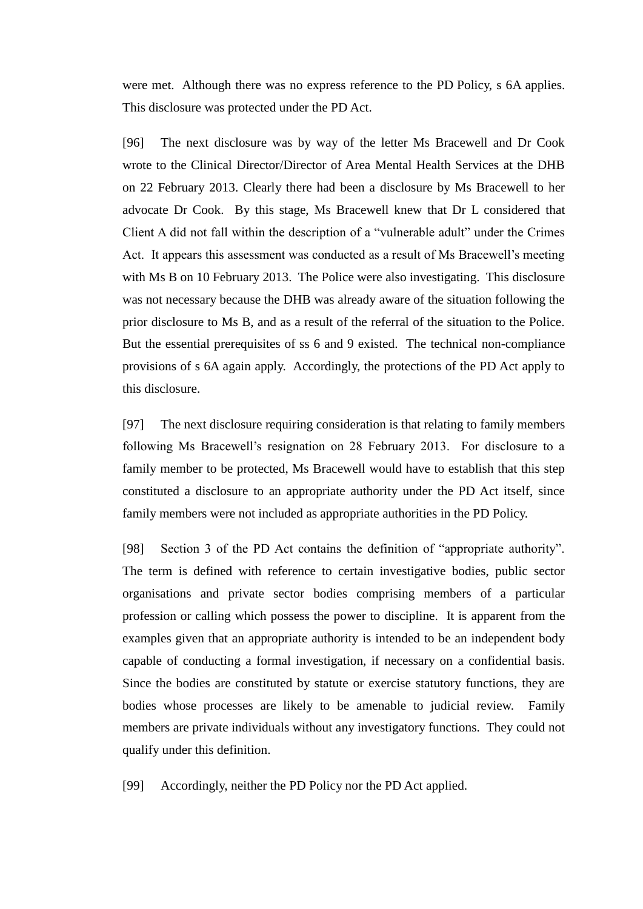were met. Although there was no express reference to the PD Policy, s 6A applies. This disclosure was protected under the PD Act.

[96] The next disclosure was by way of the letter Ms Bracewell and Dr Cook wrote to the Clinical Director/Director of Area Mental Health Services at the DHB on 22 February 2013. Clearly there had been a disclosure by Ms Bracewell to her advocate Dr Cook. By this stage, Ms Bracewell knew that Dr L considered that Client A did not fall within the description of a "vulnerable adult" under the Crimes Act. It appears this assessment was conducted as a result of Ms Bracewell's meeting with Ms B on 10 February 2013. The Police were also investigating. This disclosure was not necessary because the DHB was already aware of the situation following the prior disclosure to Ms B, and as a result of the referral of the situation to the Police. But the essential prerequisites of ss 6 and 9 existed. The technical non-compliance provisions of s 6A again apply. Accordingly, the protections of the PD Act apply to this disclosure.

[97] The next disclosure requiring consideration is that relating to family members following Ms Bracewell's resignation on 28 February 2013. For disclosure to a family member to be protected, Ms Bracewell would have to establish that this step constituted a disclosure to an appropriate authority under the PD Act itself, since family members were not included as appropriate authorities in the PD Policy.

[98] Section 3 of the PD Act contains the definition of "appropriate authority". The term is defined with reference to certain investigative bodies, public sector organisations and private sector bodies comprising members of a particular profession or calling which possess the power to discipline. It is apparent from the examples given that an appropriate authority is intended to be an independent body capable of conducting a formal investigation, if necessary on a confidential basis. Since the bodies are constituted by statute or exercise statutory functions, they are bodies whose processes are likely to be amenable to judicial review. Family members are private individuals without any investigatory functions. They could not qualify under this definition.

[99] Accordingly, neither the PD Policy nor the PD Act applied.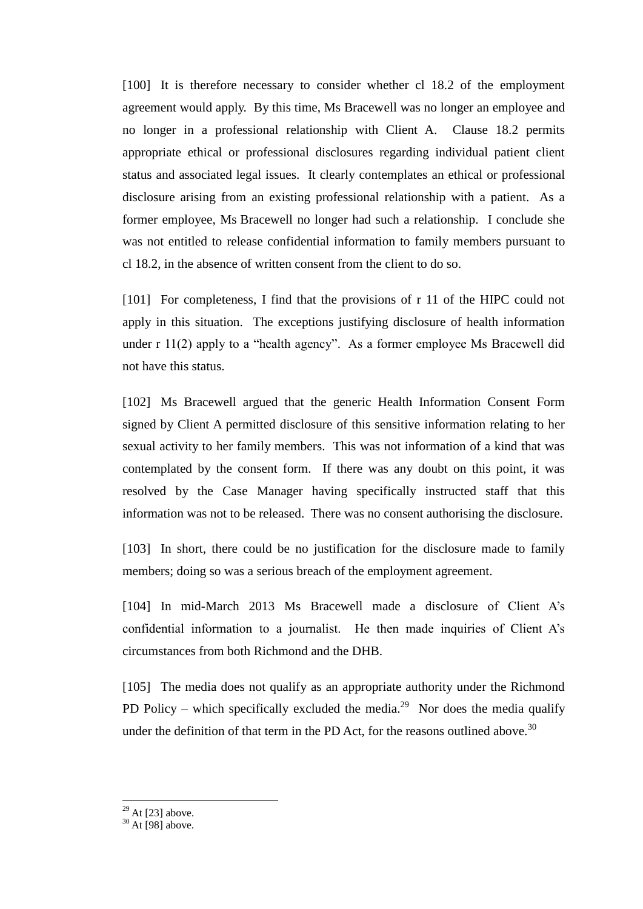[100] It is therefore necessary to consider whether cl 18.2 of the employment agreement would apply. By this time, Ms Bracewell was no longer an employee and no longer in a professional relationship with Client A. Clause 18.2 permits appropriate ethical or professional disclosures regarding individual patient client status and associated legal issues. It clearly contemplates an ethical or professional disclosure arising from an existing professional relationship with a patient. As a former employee, Ms Bracewell no longer had such a relationship. I conclude she was not entitled to release confidential information to family members pursuant to cl 18.2, in the absence of written consent from the client to do so.

[101] For completeness, I find that the provisions of r 11 of the HIPC could not apply in this situation. The exceptions justifying disclosure of health information under r 11(2) apply to a "health agency". As a former employee Ms Bracewell did not have this status.

[102] Ms Bracewell argued that the generic Health Information Consent Form signed by Client A permitted disclosure of this sensitive information relating to her sexual activity to her family members. This was not information of a kind that was contemplated by the consent form. If there was any doubt on this point, it was resolved by the Case Manager having specifically instructed staff that this information was not to be released. There was no consent authorising the disclosure.

[103] In short, there could be no justification for the disclosure made to family members; doing so was a serious breach of the employment agreement.

[104] In mid-March 2013 Ms Bracewell made a disclosure of Client A's confidential information to a journalist. He then made inquiries of Client A's circumstances from both Richmond and the DHB.

[105] The media does not qualify as an appropriate authority under the Richmond PD Policy – which specifically excluded the media.<sup>29</sup> Nor does the media qualify under the definition of that term in the PD Act, for the reasons outlined above.<sup>30</sup>

 $^{29}$  At [23] above.

 $30$  At [98] above.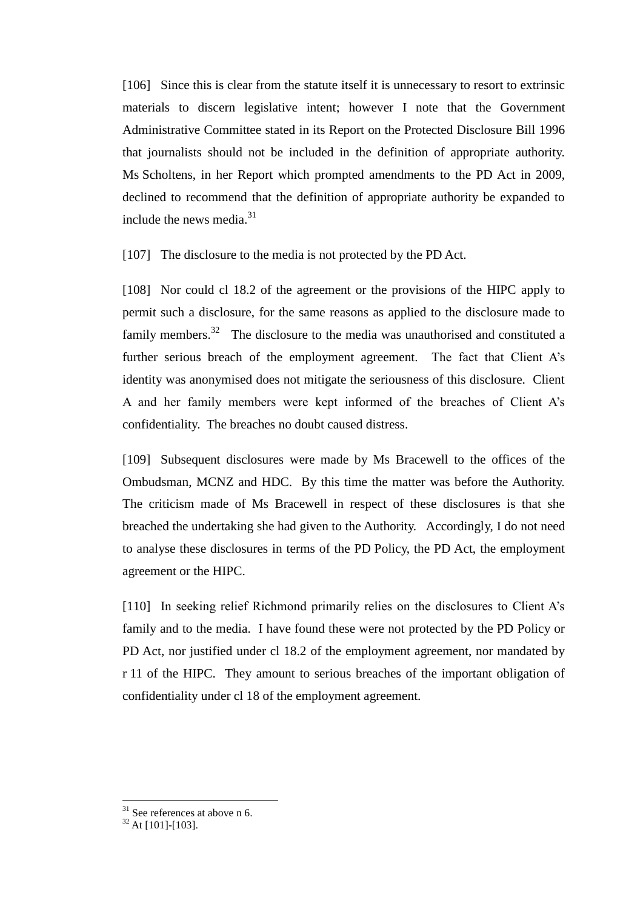[106] Since this is clear from the statute itself it is unnecessary to resort to extrinsic materials to discern legislative intent; however I note that the Government Administrative Committee stated in its Report on the Protected Disclosure Bill 1996 that journalists should not be included in the definition of appropriate authority. Ms Scholtens, in her Report which prompted amendments to the PD Act in 2009, declined to recommend that the definition of appropriate authority be expanded to include the news media.<sup>31</sup>

[107] The disclosure to the media is not protected by the PD Act.

[108] Nor could cl 18.2 of the agreement or the provisions of the HIPC apply to permit such a disclosure, for the same reasons as applied to the disclosure made to family members.<sup>32</sup> The disclosure to the media was unauthorised and constituted a further serious breach of the employment agreement. The fact that Client A's identity was anonymised does not mitigate the seriousness of this disclosure. Client A and her family members were kept informed of the breaches of Client A's confidentiality. The breaches no doubt caused distress.

[109] Subsequent disclosures were made by Ms Bracewell to the offices of the Ombudsman, MCNZ and HDC. By this time the matter was before the Authority. The criticism made of Ms Bracewell in respect of these disclosures is that she breached the undertaking she had given to the Authority. Accordingly, I do not need to analyse these disclosures in terms of the PD Policy, the PD Act, the employment agreement or the HIPC.

[110] In seeking relief Richmond primarily relies on the disclosures to Client A's family and to the media. I have found these were not protected by the PD Policy or PD Act, nor justified under cl 18.2 of the employment agreement, nor mandated by r 11 of the HIPC. They amount to serious breaches of the important obligation of confidentiality under cl 18 of the employment agreement.

 $31$  See references at above n 6.

 $32$  At [101]-[103].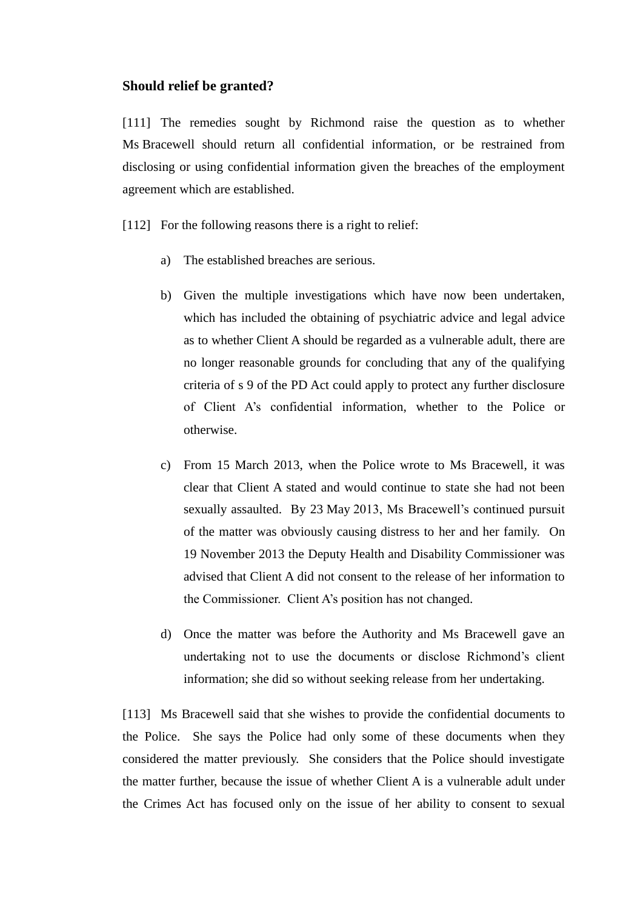#### **Should relief be granted?**

[111] The remedies sought by Richmond raise the question as to whether Ms Bracewell should return all confidential information, or be restrained from disclosing or using confidential information given the breaches of the employment agreement which are established.

[112] For the following reasons there is a right to relief:

- a) The established breaches are serious.
- b) Given the multiple investigations which have now been undertaken, which has included the obtaining of psychiatric advice and legal advice as to whether Client A should be regarded as a vulnerable adult, there are no longer reasonable grounds for concluding that any of the qualifying criteria of s 9 of the PD Act could apply to protect any further disclosure of Client A's confidential information, whether to the Police or otherwise.
- c) From 15 March 2013, when the Police wrote to Ms Bracewell, it was clear that Client A stated and would continue to state she had not been sexually assaulted. By 23 May 2013, Ms Bracewell's continued pursuit of the matter was obviously causing distress to her and her family. On 19 November 2013 the Deputy Health and Disability Commissioner was advised that Client A did not consent to the release of her information to the Commissioner. Client A's position has not changed.
- d) Once the matter was before the Authority and Ms Bracewell gave an undertaking not to use the documents or disclose Richmond's client information; she did so without seeking release from her undertaking.

[113] Ms Bracewell said that she wishes to provide the confidential documents to the Police. She says the Police had only some of these documents when they considered the matter previously. She considers that the Police should investigate the matter further, because the issue of whether Client A is a vulnerable adult under the Crimes Act has focused only on the issue of her ability to consent to sexual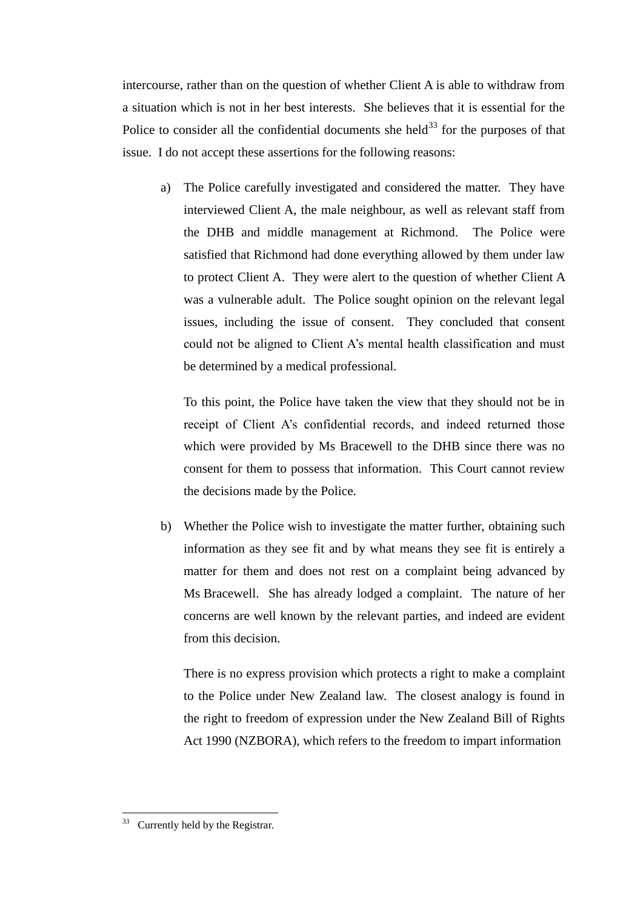intercourse, rather than on the question of whether Client A is able to withdraw from a situation which is not in her best interests. She believes that it is essential for the Police to consider all the confidential documents she held<sup>33</sup> for the purposes of that issue. I do not accept these assertions for the following reasons:

a) The Police carefully investigated and considered the matter. They have interviewed Client A, the male neighbour, as well as relevant staff from the DHB and middle management at Richmond. The Police were satisfied that Richmond had done everything allowed by them under law to protect Client A. They were alert to the question of whether Client A was a vulnerable adult. The Police sought opinion on the relevant legal issues, including the issue of consent. They concluded that consent could not be aligned to Client A's mental health classification and must be determined by a medical professional.

To this point, the Police have taken the view that they should not be in receipt of Client A's confidential records, and indeed returned those which were provided by Ms Bracewell to the DHB since there was no consent for them to possess that information. This Court cannot review the decisions made by the Police.

b) Whether the Police wish to investigate the matter further, obtaining such information as they see fit and by what means they see fit is entirely a matter for them and does not rest on a complaint being advanced by Ms Bracewell. She has already lodged a complaint. The nature of her concerns are well known by the relevant parties, and indeed are evident from this decision.

There is no express provision which protects a right to make a complaint to the Police under New Zealand law. The closest analogy is found in the right to freedom of expression under the New Zealand Bill of Rights Act 1990 (NZBORA), which refers to the freedom to impart information

<sup>33</sup> Currently held by the Registrar.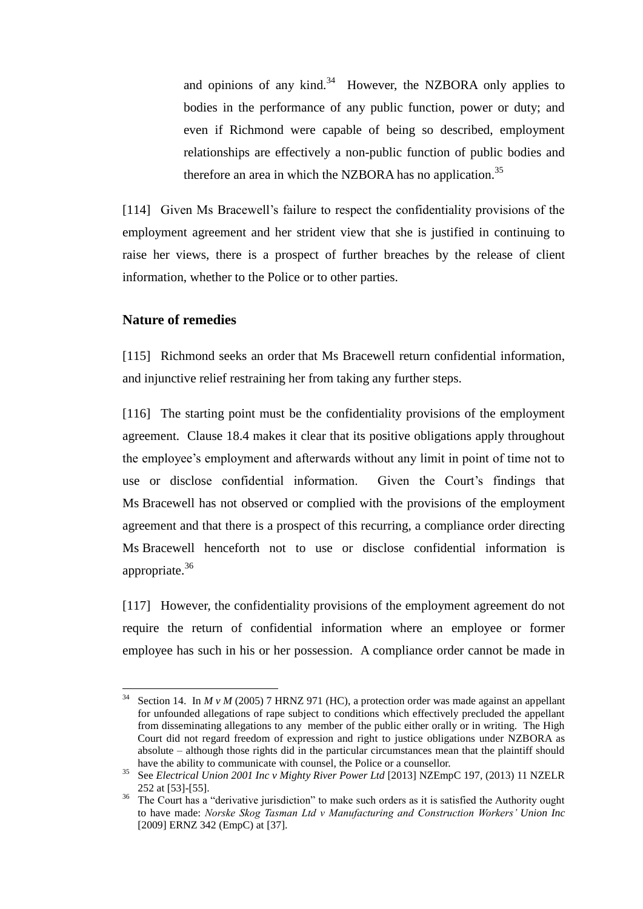and opinions of any kind. $34$  However, the NZBORA only applies to bodies in the performance of any public function, power or duty; and even if Richmond were capable of being so described, employment relationships are effectively a non-public function of public bodies and therefore an area in which the NZBORA has no application.<sup>35</sup>

[114] Given Ms Bracewell's failure to respect the confidentiality provisions of the employment agreement and her strident view that she is justified in continuing to raise her views, there is a prospect of further breaches by the release of client information, whether to the Police or to other parties.

#### **Nature of remedies**

 $\overline{a}$ 

[115] Richmond seeks an order that Ms Bracewell return confidential information, and injunctive relief restraining her from taking any further steps.

[116] The starting point must be the confidentiality provisions of the employment agreement. Clause 18.4 makes it clear that its positive obligations apply throughout the employee's employment and afterwards without any limit in point of time not to use or disclose confidential information. Given the Court's findings that Ms Bracewell has not observed or complied with the provisions of the employment agreement and that there is a prospect of this recurring, a compliance order directing Ms Bracewell henceforth not to use or disclose confidential information is appropriate.<sup>36</sup>

[117] However, the confidentiality provisions of the employment agreement do not require the return of confidential information where an employee or former employee has such in his or her possession. A compliance order cannot be made in

Section 14. In  $M v M$  (2005) 7 HRNZ 971 (HC), a protection order was made against an appellant for unfounded allegations of rape subject to conditions which effectively precluded the appellant from disseminating allegations to any member of the public either orally or in writing. The High Court did not regard freedom of expression and right to justice obligations under NZBORA as absolute – although those rights did in the particular circumstances mean that the plaintiff should have the ability to communicate with counsel, the Police or a counsellor.

<sup>&</sup>lt;sup>35</sup> See *Electrical Union 2001 Inc v Mighty River Power Ltd* [2013] NZEmpC 197, (2013) 11 NZELR 252 at [53]-[55].

<sup>&</sup>lt;sup>36</sup> The Court has a "derivative jurisdiction" to make such orders as it is satisfied the Authority ought to have made: *Norske Skog Tasman Ltd v Manufacturing and Construction Workers' Union Inc* [2009] ERNZ 342 (EmpC) at [37].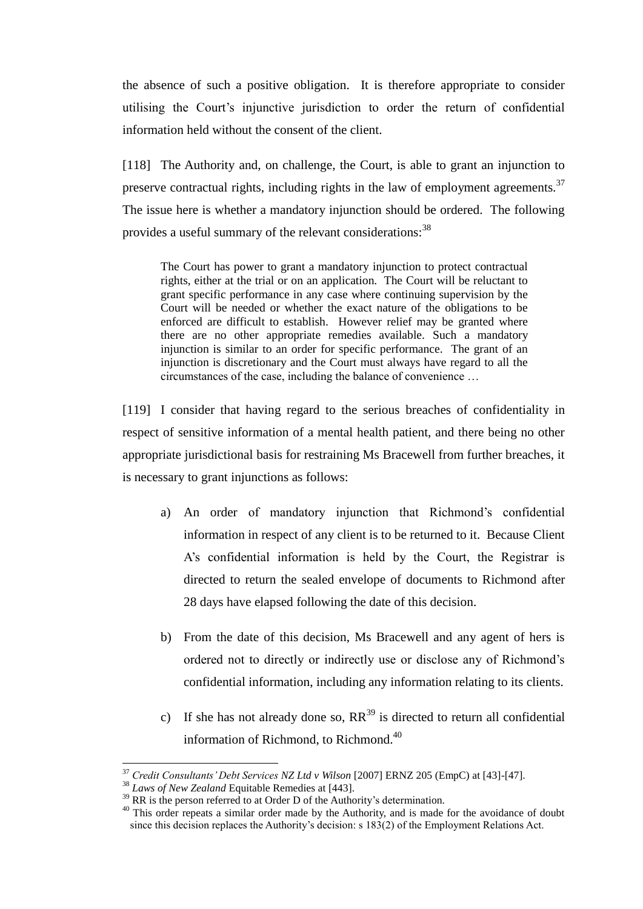the absence of such a positive obligation. It is therefore appropriate to consider utilising the Court's injunctive jurisdiction to order the return of confidential information held without the consent of the client.

[118] The Authority and, on challenge, the Court, is able to grant an injunction to preserve contractual rights, including rights in the law of employment agreements. $37$ The issue here is whether a mandatory injunction should be ordered. The following provides a useful summary of the relevant considerations:<sup>38</sup>

The Court has power to grant a mandatory injunction to protect contractual rights, either at the trial or on an application. The Court will be reluctant to grant specific performance in any case where continuing supervision by the Court will be needed or whether the exact nature of the obligations to be enforced are difficult to establish. However relief may be granted where there are no other appropriate remedies available. Such a mandatory injunction is similar to an order for specific performance. The grant of an injunction is discretionary and the Court must always have regard to all the circumstances of the case, including the balance of convenience …

[119] I consider that having regard to the serious breaches of confidentiality in respect of sensitive information of a mental health patient, and there being no other appropriate jurisdictional basis for restraining Ms Bracewell from further breaches, it is necessary to grant injunctions as follows:

- a) An order of mandatory injunction that Richmond's confidential information in respect of any client is to be returned to it. Because Client A's confidential information is held by the Court, the Registrar is directed to return the sealed envelope of documents to Richmond after 28 days have elapsed following the date of this decision.
- b) From the date of this decision, Ms Bracewell and any agent of hers is ordered not to directly or indirectly use or disclose any of Richmond's confidential information, including any information relating to its clients.
- c) If she has not already done so,  $RR^{39}$  is directed to return all confidential information of Richmond, to Richmond.<sup>40</sup>

<sup>37</sup> *Credit Consultants' Debt Services NZ Ltd v Wilson* [2007] ERNZ 205 (EmpC) at [43]-[47].

<sup>38</sup> *Laws of New Zealand* Equitable Remedies at [443].

 $39$  RR is the person referred to at Order D of the Authority's determination.

<sup>&</sup>lt;sup>40</sup> This order repeats a similar order made by the Authority, and is made for the avoidance of doubt since this decision replaces the Authority's decision: s 183(2) of the Employment Relations Act.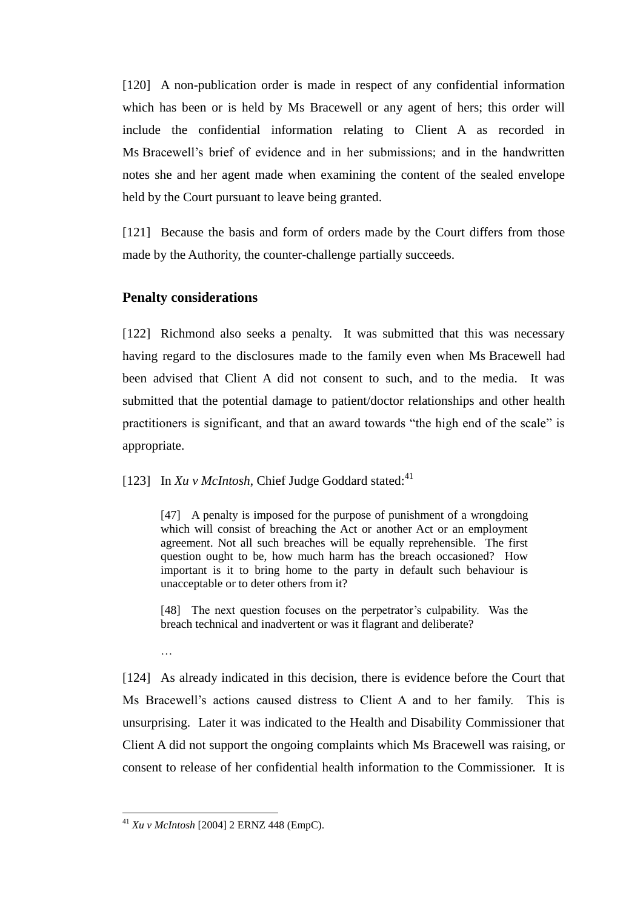[120] A non-publication order is made in respect of any confidential information which has been or is held by Ms Bracewell or any agent of hers; this order will include the confidential information relating to Client A as recorded in Ms Bracewell's brief of evidence and in her submissions; and in the handwritten notes she and her agent made when examining the content of the sealed envelope held by the Court pursuant to leave being granted.

[121] Because the basis and form of orders made by the Court differs from those made by the Authority, the counter-challenge partially succeeds.

## **Penalty considerations**

[122] Richmond also seeks a penalty. It was submitted that this was necessary having regard to the disclosures made to the family even when Ms Bracewell had been advised that Client A did not consent to such, and to the media. It was submitted that the potential damage to patient/doctor relationships and other health practitioners is significant, and that an award towards "the high end of the scale" is appropriate.

[123] In  $Xu \, v$  *McIntosh*, Chief Judge Goddard stated:<sup>41</sup>

[47] A penalty is imposed for the purpose of punishment of a wrongdoing which will consist of breaching the Act or another Act or an employment agreement. Not all such breaches will be equally reprehensible. The first question ought to be, how much harm has the breach occasioned? How important is it to bring home to the party in default such behaviour is unacceptable or to deter others from it?

[48] The next question focuses on the perpetrator's culpability. Was the breach technical and inadvertent or was it flagrant and deliberate?

[124] As already indicated in this decision, there is evidence before the Court that Ms Bracewell's actions caused distress to Client A and to her family. This is unsurprising. Later it was indicated to the Health and Disability Commissioner that Client A did not support the ongoing complaints which Ms Bracewell was raising, or consent to release of her confidential health information to the Commissioner. It is

…

<sup>41</sup> *Xu v McIntosh* [2004] 2 ERNZ 448 (EmpC).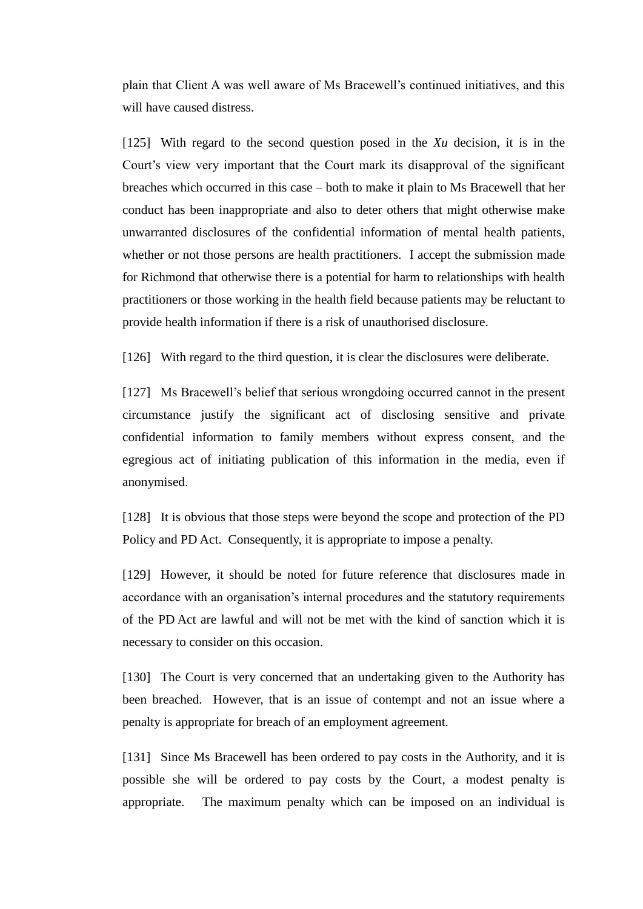plain that Client A was well aware of Ms Bracewell's continued initiatives, and this will have caused distress.

[125] With regard to the second question posed in the *Xu* decision, it is in the Court's view very important that the Court mark its disapproval of the significant breaches which occurred in this case – both to make it plain to Ms Bracewell that her conduct has been inappropriate and also to deter others that might otherwise make unwarranted disclosures of the confidential information of mental health patients, whether or not those persons are health practitioners. I accept the submission made for Richmond that otherwise there is a potential for harm to relationships with health practitioners or those working in the health field because patients may be reluctant to provide health information if there is a risk of unauthorised disclosure.

[126] With regard to the third question, it is clear the disclosures were deliberate.

[127] Ms Bracewell's belief that serious wrongdoing occurred cannot in the present circumstance justify the significant act of disclosing sensitive and private confidential information to family members without express consent, and the egregious act of initiating publication of this information in the media, even if anonymised.

[128] It is obvious that those steps were beyond the scope and protection of the PD Policy and PD Act. Consequently, it is appropriate to impose a penalty.

[129] However, it should be noted for future reference that disclosures made in accordance with an organisation's internal procedures and the statutory requirements of the PD Act are lawful and will not be met with the kind of sanction which it is necessary to consider on this occasion.

[130] The Court is very concerned that an undertaking given to the Authority has been breached. However, that is an issue of contempt and not an issue where a penalty is appropriate for breach of an employment agreement.

[131] Since Ms Bracewell has been ordered to pay costs in the Authority, and it is possible she will be ordered to pay costs by the Court, a modest penalty is appropriate. The maximum penalty which can be imposed on an individual is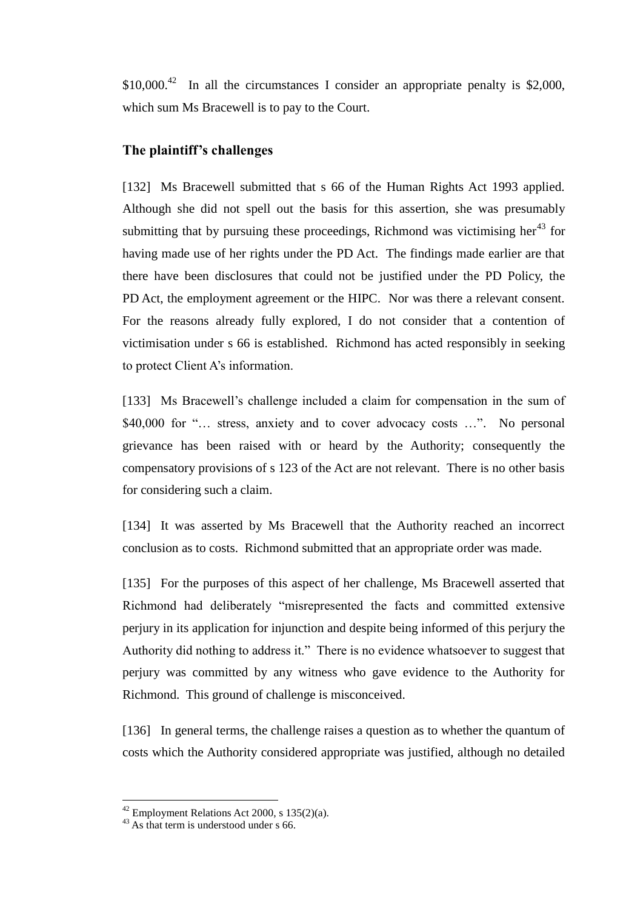$$10,000.<sup>42</sup>$  In all the circumstances I consider an appropriate penalty is \$2,000, which sum Ms Bracewell is to pay to the Court.

# **The plaintiff's challenges**

[132] Ms Bracewell submitted that s 66 of the Human Rights Act 1993 applied. Although she did not spell out the basis for this assertion, she was presumably submitting that by pursuing these proceedings, Richmond was victimising her $^{43}$  for having made use of her rights under the PD Act. The findings made earlier are that there have been disclosures that could not be justified under the PD Policy, the PD Act, the employment agreement or the HIPC. Nor was there a relevant consent. For the reasons already fully explored, I do not consider that a contention of victimisation under s 66 is established. Richmond has acted responsibly in seeking to protect Client A's information.

[133] Ms Bracewell's challenge included a claim for compensation in the sum of \$40,000 for "... stress, anxiety and to cover advocacy costs ...". No personal grievance has been raised with or heard by the Authority; consequently the compensatory provisions of s 123 of the Act are not relevant. There is no other basis for considering such a claim.

[134] It was asserted by Ms Bracewell that the Authority reached an incorrect conclusion as to costs. Richmond submitted that an appropriate order was made.

[135] For the purposes of this aspect of her challenge, Ms Bracewell asserted that Richmond had deliberately "misrepresented the facts and committed extensive perjury in its application for injunction and despite being informed of this perjury the Authority did nothing to address it." There is no evidence whatsoever to suggest that perjury was committed by any witness who gave evidence to the Authority for Richmond. This ground of challenge is misconceived.

[136] In general terms, the challenge raises a question as to whether the quantum of costs which the Authority considered appropriate was justified, although no detailed

 $42$  Employment Relations Act 2000, s 135(2)(a).

<sup>&</sup>lt;sup>43</sup> As that term is understood under s 66.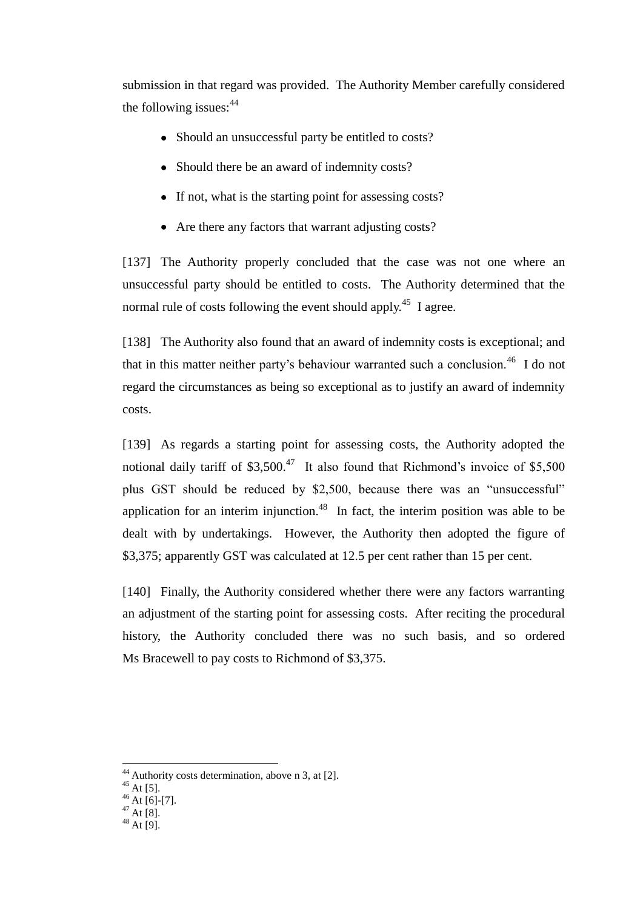submission in that regard was provided. The Authority Member carefully considered the following issues: $44$ 

- Should an unsuccessful party be entitled to costs?
- Should there be an award of indemnity costs?
- If not, what is the starting point for assessing costs?
- Are there any factors that warrant adjusting costs?

[137] The Authority properly concluded that the case was not one where an unsuccessful party should be entitled to costs. The Authority determined that the normal rule of costs following the event should apply.<sup>45</sup> I agree.

[138] The Authority also found that an award of indemnity costs is exceptional; and that in this matter neither party's behaviour warranted such a conclusion.<sup>46</sup> I do not regard the circumstances as being so exceptional as to justify an award of indemnity costs.

[139] As regards a starting point for assessing costs, the Authority adopted the notional daily tariff of  $$3,500<sup>47</sup>$  It also found that Richmond's invoice of  $$5,500$ plus GST should be reduced by \$2,500, because there was an "unsuccessful" application for an interim injunction.<sup>48</sup> In fact, the interim position was able to be dealt with by undertakings. However, the Authority then adopted the figure of \$3,375; apparently GST was calculated at 12.5 per cent rather than 15 per cent.

[140] Finally, the Authority considered whether there were any factors warranting an adjustment of the starting point for assessing costs. After reciting the procedural history, the Authority concluded there was no such basis, and so ordered Ms Bracewell to pay costs to Richmond of \$3,375.

 $^{45}$  At [5].

 $44$  Authority costs determination, above n 3, at [2].

 $46$  At [6]-[7].

 $^{47}$  At [8].

 $48$  At [9].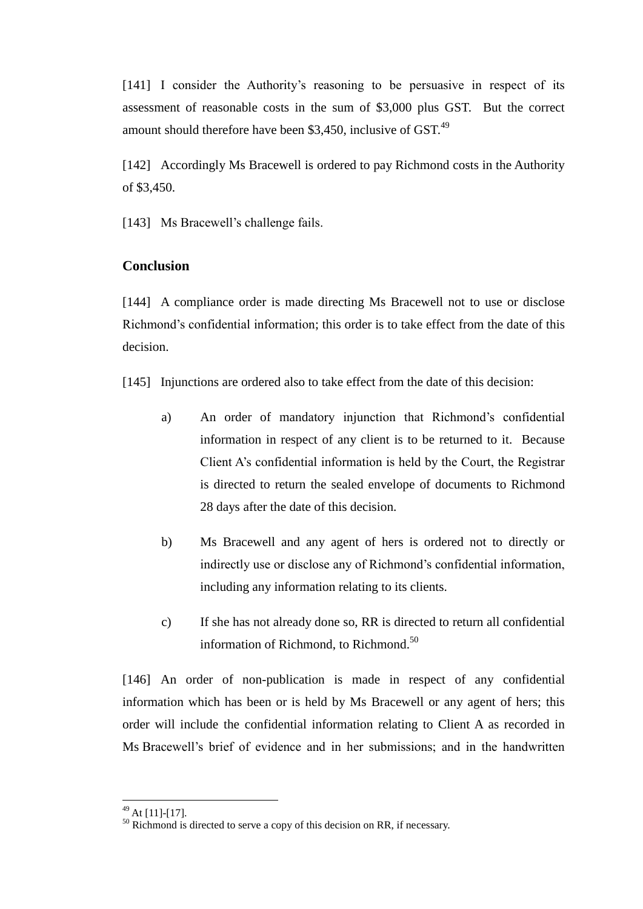[141] I consider the Authority's reasoning to be persuasive in respect of its assessment of reasonable costs in the sum of \$3,000 plus GST. But the correct amount should therefore have been \$3,450, inclusive of  $GST<sup>49</sup>$ 

[142] Accordingly Ms Bracewell is ordered to pay Richmond costs in the Authority of \$3,450.

[143] Ms Bracewell's challenge fails.

# **Conclusion**

[144] A compliance order is made directing Ms Bracewell not to use or disclose Richmond's confidential information; this order is to take effect from the date of this decision.

[145] Injunctions are ordered also to take effect from the date of this decision:

- a) An order of mandatory injunction that Richmond's confidential information in respect of any client is to be returned to it. Because Client A's confidential information is held by the Court, the Registrar is directed to return the sealed envelope of documents to Richmond 28 days after the date of this decision.
- b) Ms Bracewell and any agent of hers is ordered not to directly or indirectly use or disclose any of Richmond's confidential information, including any information relating to its clients.
- c) If she has not already done so, RR is directed to return all confidential information of Richmond, to Richmond.<sup>50</sup>

[146] An order of non-publication is made in respect of any confidential information which has been or is held by Ms Bracewell or any agent of hers; this order will include the confidential information relating to Client A as recorded in Ms Bracewell's brief of evidence and in her submissions; and in the handwritten

 $^{49}$  At [11]-[17].

<sup>&</sup>lt;sup>50</sup> Richmond is directed to serve a copy of this decision on RR, if necessary.